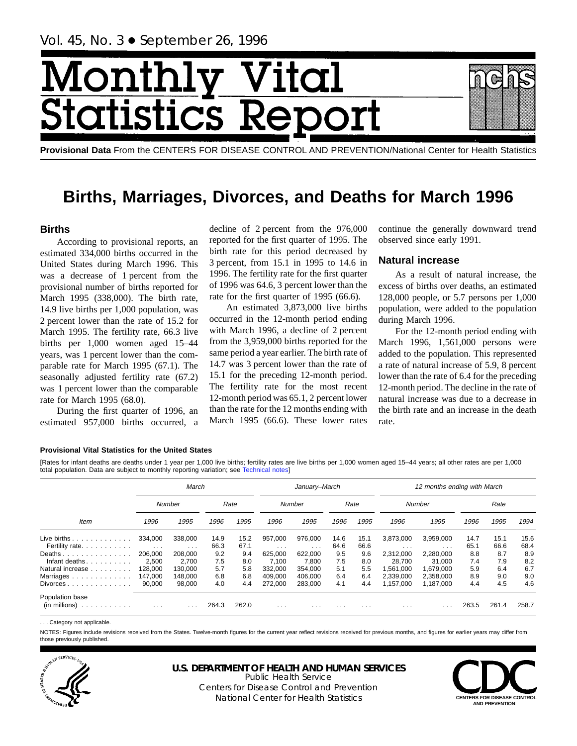# Month ital ics F tatis

**Provisional Data** From the CENTERS FOR DISEASE CONTROL AND PREVENTION/National Center for Health Statistics

## **Births, Marriages, Divorces, and Deaths for March 1996**

## **Births**

According to provisional reports, an estimated 334,000 births occurred in the United States during March 1996. This was a decrease of 1 percent from the provisional number of births reported for March 1995 (338,000). The birth rate, 14.9 live births per 1,000 population, was 2 percent lower than the rate of 15.2 for March 1995. The fertility rate, 66.3 live births per 1,000 women aged 15–44 years, was 1 percent lower than the comparable rate for March 1995 (67.1). The seasonally adjusted fertility rate (67.2) was 1 percent lower than the comparable rate for March 1995 (68.0).

During the first quarter of 1996, an estimated 957,000 births occurred, a

decline of 2 percent from the 976,000 reported for the first quarter of 1995. The birth rate for this period decreased by 3 percent, from 15.1 in 1995 to 14.6 in 1996. The fertility rate for the first quarter of 1996 was 64.6, 3 percent lower than the rate for the first quarter of 1995 (66.6).

An estimated 3,873,000 live births occurred in the 12-month period ending with March 1996, a decline of 2 percent from the 3,959,000 births reported for the same period a year earlier. The birth rate of 14.7 was 3 percent lower than the rate of 15.1 for the preceding 12-month period. The fertility rate for the most recent 12-month period was 65.1, 2 percent lower than the rate for the 12 months ending with March 1995 (66.6). These lower rates continue the generally downward trend observed since early 1991.

## **Natural increase**

As a result of natural increase, the excess of births over deaths, an estimated 128,000 people, or 5.7 persons per 1,000 population, were added to the population during March 1996.

For the 12-month period ending with March 1996, 1,561,000 persons were added to the population. This represented a rate of natural increase of 5.9, 8 percent lower than the rate of 6.4 for the preceding 12-month period. The decline in the rate of natural increase was due to a decrease in the birth rate and an increase in the death rate.

#### **Provisional Vital Statistics for the United States**

[Rates for infant deaths are deaths under 1 year per 1,000 live births; fertility rates are live births per 1,000 women aged 15–44 years; all other rates are per 1,000 total population. Data are subject to monthly reporting variation; see [Technical notes\]](#page-16-0)

|                                         |                                 | March                        |              |              |                     | January-March       |                         |              |                                   | 12 months ending with March |              |              |              |
|-----------------------------------------|---------------------------------|------------------------------|--------------|--------------|---------------------|---------------------|-------------------------|--------------|-----------------------------------|-----------------------------|--------------|--------------|--------------|
|                                         |                                 | Number                       |              | Rate         |                     | Number              |                         | Rate         |                                   | Number                      |              | Rate         |              |
| Item                                    | 1996                            | 1995                         | 1996         | 1995         | 1996                | 1995                | 1996                    | 1995         | 1996                              | 1995                        | 1996         | 1995         | 1994         |
| Live births $\ldots$<br>Fertility rate. | 334,000<br>$\sim$ $\sim$ $\sim$ | 338,000<br>$\sim$ 100 $\sim$ | 14.9<br>66.3 | 15.2<br>67.1 | 957.000<br>$\cdots$ | 976.000<br>$\cdots$ | 14.6<br>64.6            | 15.1<br>66.6 | 3,873,000<br>$\sim$ $\sim$ $\sim$ | 3,959,000<br>$\cdots$       | 14.7<br>65.1 | 15.1<br>66.6 | 15.6<br>68.4 |
| Deaths<br>Infant deaths. $\ldots$ .     | 206.000<br>2,500                | 208.000<br>2,700             | 9.2<br>7.5   | 9.4<br>8.0   | 625.000<br>7.100    | 622.000<br>7,800    | 9.5<br>7.5              | 9.6<br>8.0   | 2,312,000<br>28.700               | 2,280,000<br>31.000         | 8.8<br>7.4   | 8.7<br>7.9   | 8.9<br>8.2   |
| Natural increase<br>Marriages           | 128,000<br>147,000              | 130.000<br>148.000           | 5.7<br>6.8   | 5.8<br>6.8   | 332,000<br>409.000  | 354.000<br>406.000  | 5.1<br>6.4              | 5.5<br>6.4   | 1.561.000<br>2,339,000            | 1.679.000<br>2.358.000      | 5.9<br>8.9   | 6.4<br>9.0   | 6.7<br>9.0   |
| $Divorces \ldots \ldots \ldots \ldots$  | 90,000                          | 98.000                       | 4.0          | 4.4          | 272.000             | 283,000             | 4.1                     | 4.4          | 1.157.000                         | 1.187.000                   | 4.4          | 4.5          | 4.6          |
| Population base<br>(in millions)<br>.   | $\cdots$                        | $\cdots$                     | 264.3        | 262.0        | $\cdots$            | $\cdots$            | $\cdot$ $\cdot$ $\cdot$ | $\cdots$     | $\cdots$                          | $\cdot$ $\cdot$ $\cdot$     | 263.5        | 261.4        | 258.7        |

. . . Category not applicable.

NOTES: Figures include revisions received from the States. Twelve-month figures for the current year reflect revisions received for previous months, and figures for earlier years may differ from those previously published.



## **U.S. DEPARTMENT OF HEALTH AND HUMAN SERVICES**

Public Health Service Centers for Disease Control and Prevention National Center for Health Statistics **CENTERS FOR DISEASE CONTROL**

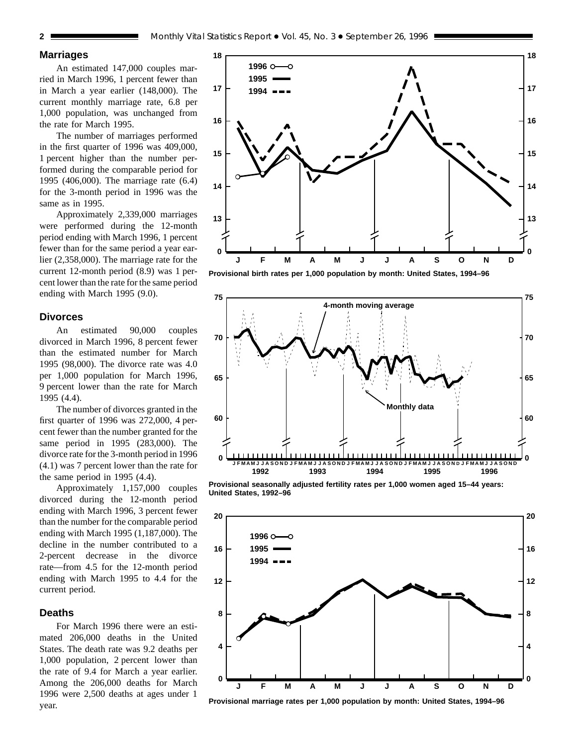## **Marriages**

An estimated 147,000 couples married in March 1996, 1 percent fewer than in March a year earlier (148,000). The current monthly marriage rate, 6.8 per 1,000 population, was unchanged from the rate for March 1995.

The number of marriages performed in the first quarter of 1996 was 409,000, 1 percent higher than the number performed during the comparable period for 1995 (406,000). The marriage rate (6.4) for the 3-month period in 1996 was the same as in 1995.

Approximately 2,339,000 marriages were performed during the 12-month period ending with March 1996, 1 percent fewer than for the same period a year earlier (2,358,000). The marriage rate for the current 12-month period (8.9) was 1 percent lower than the rate for the same period ending with March 1995 (9.0).

#### **Divorces**

An estimated 90,000 couples divorced in March 1996, 8 percent fewer than the estimated number for March 1995 (98,000). The divorce rate was 4.0 per 1,000 population for March 1996, 9 percent lower than the rate for March 1995 (4.4).

The number of divorces granted in the first quarter of 1996 was 272,000, 4 percent fewer than the number granted for the same period in 1995 (283,000). The divorce rate for the 3-month period in 1996 (4.1) was 7 percent lower than the rate for the same period in 1995 (4.4).

Approximately 1,157,000 couples divorced during the 12-month period ending with March 1996, 3 percent fewer than the number for the comparable period ending with March 1995 (1,187,000). The decline in the number contributed to a 2-percent decrease in the divorce rate—from 4.5 for the 12-month period ending with March 1995 to 4.4 for the current period.

#### **Deaths**

For March 1996 there were an estimated 206,000 deaths in the United States. The death rate was 9.2 deaths per 1,000 population, 2 percent lower than the rate of 9.4 for March a year earlier. Among the 206,000 deaths for March 1996 were 2,500 deaths at ages under 1 year.



**Provisional birth rates per 1,000 population by month: United States, 1994–96**



**Provisional seasonally adjusted fertility rates per 1,000 women aged 15–44 years: United States, 1992–96**



**Provisional marriage rates per 1,000 population by month: United States, 1994–96**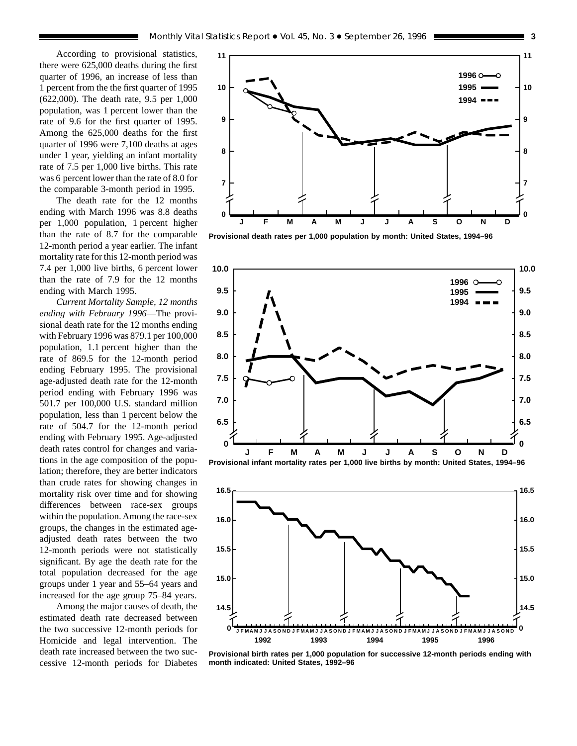According to provisional statistics, there were 625,000 deaths during the first quarter of 1996, an increase of less than 1 percent from the the first quarter of 1995 (622,000). The death rate, 9.5 per 1,000 population, was 1 percent lower than the rate of 9.6 for the first quarter of 1995. Among the 625,000 deaths for the first quarter of 1996 were 7,100 deaths at ages under 1 year, yielding an infant mortality rate of 7.5 per 1,000 live births. This rate was 6 percent lower than the rate of 8.0 for the comparable 3-month period in 1995.

The death rate for the 12 months ending with March 1996 was 8.8 deaths per 1,000 population, 1 percent higher than the rate of 8.7 for the comparable 12-month period a year earlier. The infant mortality rate for this 12-month period was 7.4 per 1,000 live births, 6 percent lower than the rate of 7.9 for the 12 months ending with March 1995.

*Current Mortality Sample, 12 months ending with February 1996*—The provisional death rate for the 12 months ending with February 1996 was 879.1 per 100,000 population, 1.1 percent higher than the rate of 869.5 for the 12-month period ending February 1995. The provisional age-adjusted death rate for the 12-month period ending with February 1996 was 501.7 per 100,000 U.S. standard million population, less than 1 percent below the rate of 504.7 for the 12-month period ending with February 1995. Age-adjusted death rates control for changes and variations in the age composition of the population; therefore, they are better indicators than crude rates for showing changes in mortality risk over time and for showing differences between race-sex groups within the population. Among the race-sex groups, the changes in the estimated ageadjusted death rates between the two 12-month periods were not statistically significant. By age the death rate for the total population decreased for the age groups under 1 year and 55–64 years and increased for the age group 75–84 years.

Among the major causes of death, the estimated death rate decreased between the two successive 12-month periods for Homicide and legal intervention. The death rate increased between the two successive 12-month periods for Diabetes



**Provisional death rates per 1,000 population by month: United States, 1994–96**





**Provisional birth rates per 1,000 population for successive 12-month periods ending with month indicated: United States, 1992–96**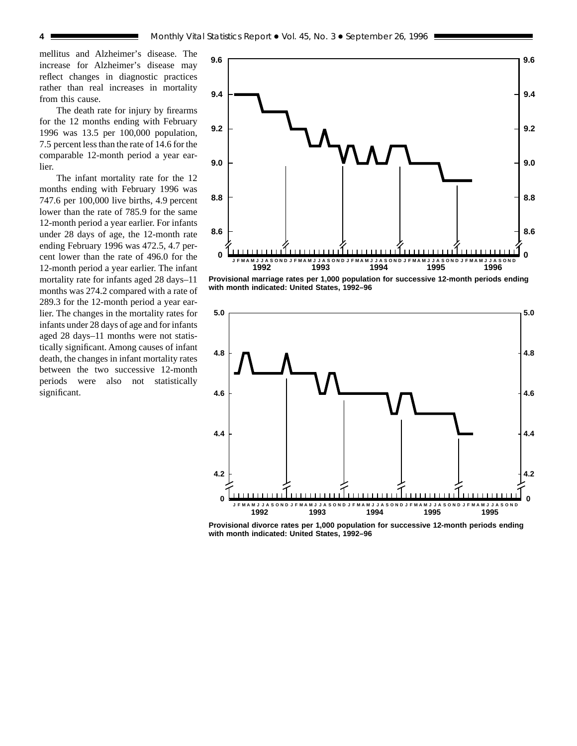mellitus and Alzheimer's disease. The increase for Alzheimer's disease may reflect changes in diagnostic practices rather than real increases in mortality from this cause.

The death rate for injury by firearms for the 12 months ending with February 1996 was 13.5 per 100,000 population, 7.5 percent less than the rate of 14.6 for the comparable 12-month period a year earlier.

The infant mortality rate for the 12 months ending with February 1996 was 747.6 per 100,000 live births, 4.9 percent lower than the rate of 785.9 for the same 12-month period a year earlier. For infants under 28 days of age, the 12-month rate ending February 1996 was 472.5, 4.7 percent lower than the rate of 496.0 for the 12-month period a year earlier. The infant mortality rate for infants aged 28 days–11 months was 274.2 compared with a rate of 289.3 for the 12-month period a year earlier. The changes in the mortality rates for infants under 28 days of age and for infants aged 28 days–11 months were not statistically significant. Among causes of infant death, the changes in infant mortality rates between the two successive 12-month periods were also not statistically significant.



**Provisional marriage rates per 1,000 population for successive 12-month periods ending with month indicated: United States, 1992–96**



**Provisional divorce rates per 1,000 population for successive 12-month periods ending with month indicated: United States, 1992–96**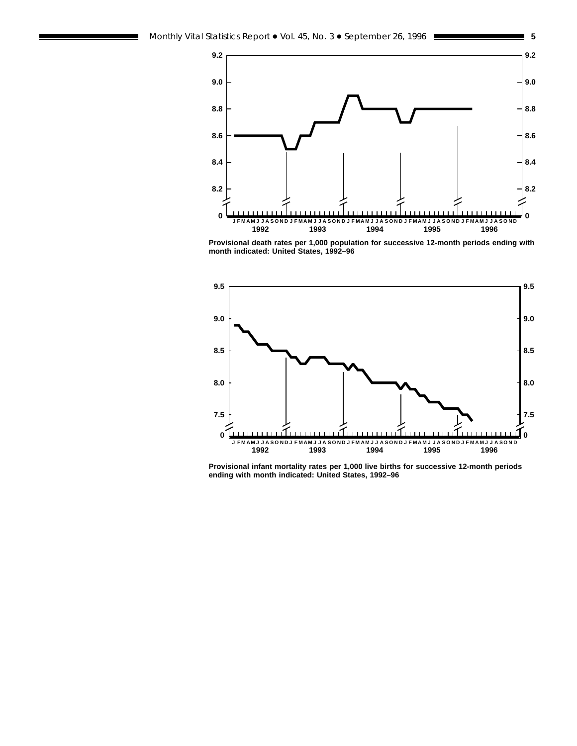

**Provisional death rates per 1,000 population for successive 12-month periods ending with month indicated: United States, 1992–96**



**Provisional infant mortality rates per 1,000 live births for successive 12-month periods ending with month indicated: United States, 1992–96**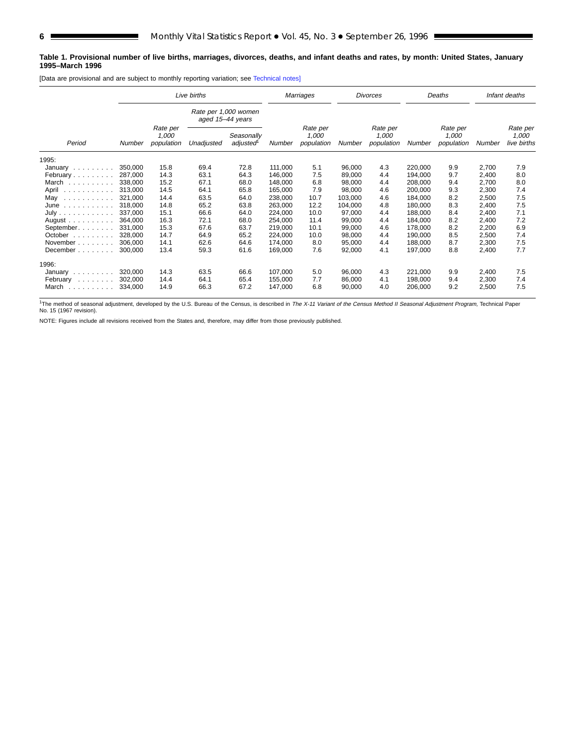#### **Table 1. Provisional number of live births, marriages, divorces, deaths, and infant deaths and rates, by month: United States, January 1995–March 1996**

[Data are provisional and are subject to monthly reporting variation; see [Technical notes\]](#page-16-0)

|                                                                                                                                                                                                                                         |         | Live births                     |                                          |                        |         | Marriages                       |         | <b>Divorces</b>                 |         | Deaths                          |        | Infant deaths                    |
|-----------------------------------------------------------------------------------------------------------------------------------------------------------------------------------------------------------------------------------------|---------|---------------------------------|------------------------------------------|------------------------|---------|---------------------------------|---------|---------------------------------|---------|---------------------------------|--------|----------------------------------|
|                                                                                                                                                                                                                                         |         |                                 | Rate per 1,000 women<br>aged 15-44 years |                        |         |                                 |         |                                 |         |                                 |        |                                  |
| Period                                                                                                                                                                                                                                  | Number  | Rate per<br>1,000<br>population | Unadjusted                               | Seasonally<br>adjusted | Number  | Rate per<br>1,000<br>population | Number  | Rate per<br>1,000<br>population | Number  | Rate per<br>1,000<br>population | Number | Rate per<br>1,000<br>live births |
| 1995:                                                                                                                                                                                                                                   |         |                                 |                                          |                        |         |                                 |         |                                 |         |                                 |        |                                  |
| January                                                                                                                                                                                                                                 | 350,000 | 15.8                            | 69.4                                     | 72.8                   | 111.000 | 5.1                             | 96.000  | 4.3                             | 220.000 | 9.9                             | 2,700  | 7.9                              |
| February                                                                                                                                                                                                                                | 287,000 | 14.3                            | 63.1                                     | 64.3                   | 146,000 | 7.5                             | 89,000  | 4.4                             | 194,000 | 9.7                             | 2,400  | 8.0                              |
| March                                                                                                                                                                                                                                   | 338,000 | 15.2                            | 67.1                                     | 68.0                   | 148,000 | 6.8                             | 98,000  | 4.4                             | 208,000 | 9.4                             | 2,700  | 8.0                              |
| April<br>in a construction of the construction of the construction of the construction of the construction of the construction of the construction of the construction of the construction of the construction of the construction of t | 313,000 | 14.5                            | 64.1                                     | 65.8                   | 165,000 | 7.9                             | 98,000  | 4.6                             | 200,000 | 9.3                             | 2,300  | 7.4                              |
| May                                                                                                                                                                                                                                     | 321,000 | 14.4                            | 63.5                                     | 64.0                   | 238,000 | 10.7                            | 103,000 | 4.6                             | 184,000 | 8.2                             | 2,500  | 7.5                              |
| June                                                                                                                                                                                                                                    | 318,000 | 14.8                            | 65.2                                     | 63.8                   | 263,000 | 12.2                            | 104,000 | 4.8                             | 180,000 | 8.3                             | 2,400  | 7.5                              |
| July                                                                                                                                                                                                                                    | 337,000 | 15.1                            | 66.6                                     | 64.0                   | 224,000 | 10.0                            | 97,000  | 4.4                             | 188,000 | 8.4                             | 2,400  | 7.1                              |
| August $\ldots$ , $\ldots$ ,                                                                                                                                                                                                            | 364,000 | 16.3                            | 72.1                                     | 68.0                   | 254,000 | 11.4                            | 99,000  | 4.4                             | 184,000 | 8.2                             | 2,400  | 7.2                              |
| September.                                                                                                                                                                                                                              | 331.000 | 15.3                            | 67.6                                     | 63.7                   | 219,000 | 10.1                            | 99,000  | 4.6                             | 178,000 | 8.2                             | 2,200  | 6.9                              |
| October                                                                                                                                                                                                                                 | 328.000 | 14.7                            | 64.9                                     | 65.2                   | 224,000 | 10.0                            | 98,000  | 4.4                             | 190.000 | 8.5                             | 2,500  | 7.4                              |
| November                                                                                                                                                                                                                                | 306.000 | 14.1                            | 62.6                                     | 64.6                   | 174,000 | 8.0                             | 95,000  | 4.4                             | 188,000 | 8.7                             | 2,300  | 7.5                              |
| December                                                                                                                                                                                                                                | 300,000 | 13.4                            | 59.3                                     | 61.6                   | 169,000 | 7.6                             | 92,000  | 4.1                             | 197,000 | 8.8                             | 2,400  | 7.7                              |
| 1996:                                                                                                                                                                                                                                   |         |                                 |                                          |                        |         |                                 |         |                                 |         |                                 |        |                                  |
| January                                                                                                                                                                                                                                 | 320,000 | 14.3                            | 63.5                                     | 66.6                   | 107,000 | 5.0                             | 96,000  | 4.3                             | 221,000 | 9.9                             | 2,400  | 7.5                              |
| February<br>and a contract of                                                                                                                                                                                                           | 302,000 | 14.4                            | 64.1                                     | 65.4                   | 155,000 | 7.7                             | 86,000  | 4.1                             | 198,000 | 9.4                             | 2,300  | 7.4                              |
| March<br>and and and and a                                                                                                                                                                                                              | 334,000 | 14.9                            | 66.3                                     | 67.2                   | 147,000 | 6.8                             | 90,000  | 4.0                             | 206,000 | 9.2                             | 2,500  | 7.5                              |

<sup>1</sup>The method of seasonal adjustment, developed by the U.S. Bureau of the Census, is described in The X-11 Variant of the Census Method II Seasonal Adjustment Program, Technical Paper No. 15 (1967 revision).

NOTE: Figures include all revisions received from the States and, therefore, may differ from those previously published.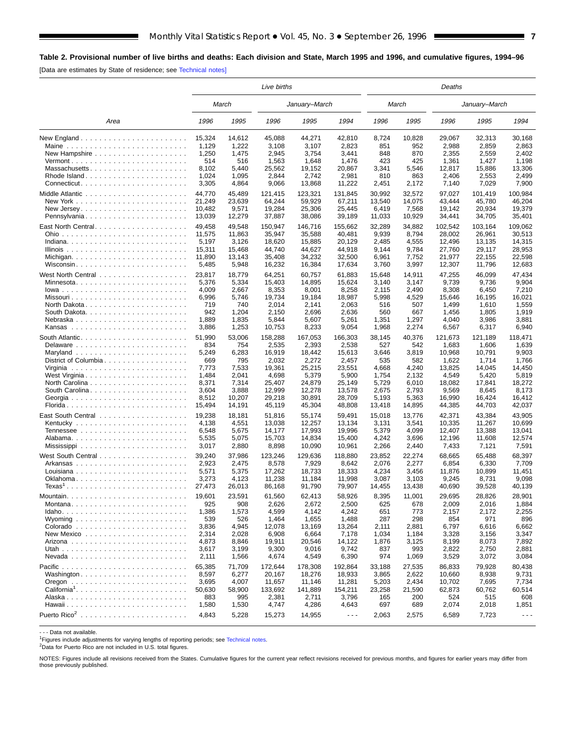## <span id="page-6-0"></span>**Table 2. Provisional number of live births and deaths: Each division and State, March 1995 and 1996, and cumulative figures, 1994–96**

[Data are estimates by State of residence; see [Technical notes\]](#page-16-0)

|                                                                                     |                 |              | Live births     |                 |                      |              |              | Deaths          |                 |                      |
|-------------------------------------------------------------------------------------|-----------------|--------------|-----------------|-----------------|----------------------|--------------|--------------|-----------------|-----------------|----------------------|
|                                                                                     |                 | March        |                 | January-March   |                      |              | March        |                 | January-March   |                      |
| Area                                                                                | 1996            | 1995         | 1996            | 1995            | 1994                 | 1996         | 1995         | 1996            | 1995            | 1994                 |
|                                                                                     | 15,324          | 14,612       | 45.088          | 44,271          | 42.810               | 8,724        | 10,828       | 29.067          | 32,313          | 30,168               |
|                                                                                     | 1,129           | 1,222        | 3,108           | 3,107           | 2,823                | 851          | 952          | 2,988           | 2,859           | 2,863                |
|                                                                                     | 1,250           | 1,475        | 2,945           | 3,754           | 3,441                | 848          | 870          | 2,355           | 2,559           | 2,402                |
| $Vermont$                                                                           | 514             | 516          | 1,563           | 1,648           | 1,476                | 423          | 425          | 1,361           | 1,427           | 1,198                |
| Massachusetts                                                                       | 8,102           | 5,440        | 25,562          | 19,152          | 20,867               | 3,341        | 5,546        | 12,817          | 15,886          | 13,306               |
| Rhode Island                                                                        | 1,024           | 1,095        | 2,844           | 2,742           | 2,981                | 810          | 863          | 2,406           | 2,553           | 2,499                |
|                                                                                     | 3,305           | 4,864        | 9,066           | 13,868          | 11,222               | 2,451        | 2,172        | 7,140           | 7,029           | 7,900                |
|                                                                                     | 44,770          | 45,489       | 121,415         | 123,321         | 131,845              | 30,992       | 32,572       | 97,027          | 101,419         | 100,984              |
| New York $\ldots$ , $\ldots$ , $\ldots$ , $\ldots$ , $\ldots$ , $\ldots$ , $\ldots$ | 21,249          | 23,639       | 64,244          | 59,929          | 67,211               | 13,540       | 14,075       | 43,444          | 45.780          | 46,204               |
|                                                                                     | 10,482          | 9,571        | 19,284          | 25,306          | 25,445               | 6,419        | 7,568        | 19.142          | 20,934          | 19,379               |
| Pennsylvania                                                                        | 13,039          | 12,279       | 37,887          | 38,086          | 39,189               | 11,033       | 10,929       | 34,441          | 34,705          | 35,401               |
|                                                                                     | 49,458          | 49,548       | 150,947         | 146,716         | 155,662              | 32,289       | 34,882       | 102,542         | 103,164         | 109,062              |
|                                                                                     | 11,575          | 11,863       | 35,947          | 35,588          | 40,481               | 9,939        | 8,794        | 28,002          | 26,961          | 30,513               |
|                                                                                     | 5,197           | 3,126        | 18,620          | 15,885          | 20,129               | 2,485        | 4,555        | 12,496          | 13,135          | 14,315               |
|                                                                                     | 15,311          | 15,468       | 44,740          | 44,627          | 44,918               | 9,144        | 9,784        | 27,760          | 29,117          | 28,953               |
|                                                                                     | 11,890          | 13,143       | 35,408          | 34,232          | 32,500               | 6,961        | 7,752        | 21,977          | 22,155          | 22,598               |
|                                                                                     | 5,485           | 5,948        | 16,232          | 16,384          | 17,634               | 3,760        | 3,997        | 12,307          | 11,796          | 12,683               |
|                                                                                     |                 |              |                 |                 |                      |              |              |                 |                 |                      |
|                                                                                     | 23,817          | 18,779       | 64,251          | 60,757          | 61,883               | 15,648       | 14,911       | 47,255          | 46,099          | 47,434               |
| Minnesota                                                                           | 5,376           | 5,334        | 15,403          | 14,895          | 15,624               | 3,140        | 3,147        | 9,739           | 9,736           | 9,904                |
|                                                                                     | 4,009           | 2,667        | 8,353           | 8,001<br>19,184 | 8,258                | 2,115        | 2,490        | 8,308           | 6,450           | 7,210                |
| North Dakota                                                                        | 6,996<br>719    | 5,746<br>740 | 19,734<br>2,014 | 2,141           | 18,987<br>2,063      | 5,998<br>516 | 4,529<br>507 | 15,646<br>1,499 | 16,195<br>1,610 | 16,021<br>1,559      |
|                                                                                     | 942             | 1,204        | 2,150           | 2,696           | 2,636                | 560          | 667          | 1,456           | 1,805           | 1,919                |
|                                                                                     | 1,889           | 1,835        | 5,844           | 5,607           | 5,261                | 1,351        | 1,297        | 4,040           | 3,986           | 3,881                |
|                                                                                     | 3,886           | 1,253        | 10,753          | 8,233           | 9,054                | 1,968        | 2,274        | 6,567           | 6,317           | 6,940                |
|                                                                                     |                 |              |                 |                 |                      |              |              |                 |                 |                      |
|                                                                                     | 51,990          | 53,006       | 158,288         | 167,053         | 166,303              | 38,145       | 40,376       | 121,673         | 121,189         | 118,471              |
|                                                                                     | 834             | 754          | 2,535           | 2,393           | 2,538                | 527          | 542          | 1,683           | 1,606           | 1,639                |
|                                                                                     | 5,249           | 6,283        | 16,919          | 18,442          | 15,613               | 3,646        | 3,819        | 10,968          | 10,791          | 9,903                |
| District of Columbia                                                                | 669             | 795          | 2,032           | 2,272           | 2,457                | 535          | 582          | 1,622           | 1,714           | 1,766                |
|                                                                                     | 7,773           | 7,533        | 19,361          | 25,215          | 23,551               | 4,668        | 4,240        | 13,825          | 14,045          | 14,450               |
| West Virginia                                                                       | 1,484           | 2,041        | 4,698           | 5,379           | 5,900                | 1,754        | 2,132        | 4,549           | 5,420           | 5,819                |
|                                                                                     | 8,371           | 7,314        | 25,407          | 24,879          | 25,149               | 5,729        | 6,010        | 18,082          | 17,841          | 18,272               |
| South Carolina                                                                      | 3,604           | 3,888        | 12,999          | 12,278          | 13,578               | 2,675        | 2,793        | 9,569           | 8,645           | 8,173                |
|                                                                                     | 8,512<br>15,494 | 10,207       | 29,218          | 30,891          | 28,709               | 5,193        | 5,363        | 16,990          | 16,424          | 16,412               |
|                                                                                     |                 | 14,191       | 45,119          | 45,304          | 48,808               | 13,418       | 14,895       | 44,385          | 44,703          | 42,037               |
|                                                                                     | 19,238          | 18,181       | 51,816          | 55,174          | 59,491               | 15,018       | 13,776       | 42,371          | 43,384          | 43,905               |
|                                                                                     | 4,138           | 4,551        | 13,038          | 12,257          | 13,134               | 3,131        | 3,541        | 10,335          | 11,267          | 10,699               |
|                                                                                     | 6,548           | 5,675        | 14,177          | 17,993          | 19,996               | 5,379        | 4,099        | 12,407          | 13,388          | 13,041               |
|                                                                                     | 5,535           | 5,075        | 15,703          | 14,834          | 15,400               | 4,242        | 3,696        | 12,196          | 11,608          | 12,574               |
|                                                                                     | 3,017           | 2,880        | 8,898           | 10,090          | 10,961               | 2,266        | 2,440        | 7,433           | 7,121           | 7,591                |
|                                                                                     | 39,240          | 37,986       | 123,246         | 129,636         | 118.880              | 23,852       | 22.274       | 68,665          | 65,488          | 68,397               |
| Arkansas                                                                            | 2,923           | 2,475        | 8,578           | 7,929           | 8,642                | 2,076        | 2,277        | 6,854           | 6,330           | 7,709                |
| Louisiana                                                                           | 5,571           | 5,375        | 17,262          | 18,733          | 18,333               | 4,234        | 3,456        | 11,876          | 10,899          | 11,451               |
|                                                                                     | 3,273           | 4,123        | 11,238          | 11,184          | 11,998               | 3,087        | 3,103        | 9,245           | 8,731           | 9,098                |
| $Texas1$                                                                            | 27,473          | 26,013       | 86,168          | 91,790          | 79,907               | 14,455       | 13,438       | 40,690          | 39,528          | 40,139               |
| Mountain.                                                                           | 19,601          | 23,591       | 61,560          | 62,413          | 58,926               | 8,395        | 11,001       | 29,695          | 28,826          | 28,901               |
| Montana                                                                             | 925             | 908          | 2,626           | 2,672           | 2,500                | 625          | 678          | 2,009           | 2,016           | 1,884                |
| $Idaho.$                                                                            | 1,386           | 1,573        | 4,599           | 4,142           | 4,242                | 651          | 773          | 2,157           | 2,172           | 2,255                |
|                                                                                     | 539             | 526          | 1,464           | 1,655           | 1,488                | 287          | 298          | 854             | 971             | 896                  |
|                                                                                     | 3,836           | 4,945        | 12,078          | 13,169          | 13,264               | 2,111        | 2,881        | 6,797           | 6,616           | 6,662                |
|                                                                                     | 2,314           | 2,028        | 6,908           | 6,664           | 7,178                | 1,034        | 1,184        | 3,328           | 3,156           | 3,347                |
|                                                                                     | 4,873           | 8,846        | 19,911          | 20,546          | 14,122               | 1,876        | 3,125        | 8,199           | 8,073           | 7,892                |
|                                                                                     | 3,617           | 3,199        | 9,300           | 9,016           | 9,742                | 837          | 993          | 2,822           | 2,750           | 2,881                |
|                                                                                     | 2,111           | 1,566        | 4,674           | 4,549           | 6,390                | 974          | 1,069        | 3,529           | 3,072           | 3,084                |
|                                                                                     | 65,385          | 71,709       | 172,644         | 178,308         | 192,864              | 33,188       | 27,535       | 86,833          | 79,928          | 80,438               |
| Washington                                                                          | 8,597           | 6,277        | 20,167          | 18,276          | 18,933               | 3,865        | 2,622        | 10,660          | 8,938           | 9,731                |
|                                                                                     | 3,695           | 4,007        | 11,657          | 11,146          | 11,281               | 5,203        | 2,434        | 10,702          | 7,695           | 7,734                |
|                                                                                     | 50,630          | 58,900       | 133,692         | 141,889         | 154,211              | 23,258       | 21,590       | 62,873          | 60,762          | 60,514               |
|                                                                                     | 883             | 995          | 2,381           | 2,711           | 3,796                | 165          | 200          | 524             | 515             | 608                  |
|                                                                                     | 1,580           | 1,530        | 4,747           | 4,286           | 4,643                | 697          | 689          | 2,074           | 2,018           | 1,851                |
|                                                                                     | 4,843           | 5,228        | 15,273          | 14,955          | $\sim$ $\sim$ $\sim$ | 2,063        | 2,575        | 6,589           | 7,723           | $\sim$ $\sim$ $\sim$ |
|                                                                                     |                 |              |                 |                 |                      |              |              |                 |                 |                      |

- - - Data not available.

<sup>1</sup>Figures include adjustments for varying lengths of reporting periods; see [Technical notes](#page-16-0).

2Data for Puerto Rico are not included in U.S. total figures.

NOTES: Figures include all revisions received from the States. Cumulative figures for the current year reflect revisions received for previous months, and figures for earlier years may differ from those previously published.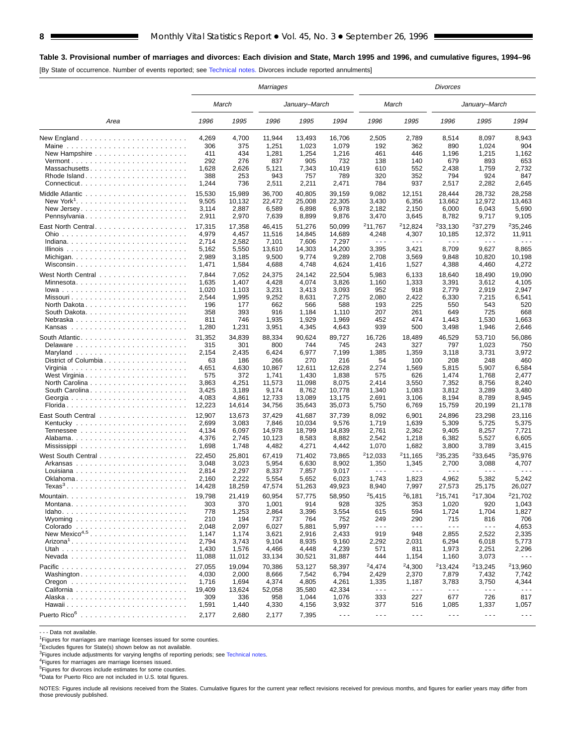## **Table 3. Provisional number of marriages and divorces: Each division and State, March 1995 and 1996, and cumulative figures, 1994–96**

[By State of occurrence. Number of events reported; see [Technical notes.](#page-16-0) Divorces include reported annulments]

|                                                           | Marriages |        |        |               |                      |                             | Divorces                    |                      |                             |                      |  |  |  |
|-----------------------------------------------------------|-----------|--------|--------|---------------|----------------------|-----------------------------|-----------------------------|----------------------|-----------------------------|----------------------|--|--|--|
|                                                           |           | March  |        | January–March |                      |                             | March                       |                      | January–March               |                      |  |  |  |
| Area                                                      | 1996      | 1995   | 1996   | 1995          | 1994                 | 1996                        | 1995                        | 1996                 | 1995                        | 1994                 |  |  |  |
|                                                           | 4,269     | 4,700  | 11,944 | 13,493        | 16,706               | 2,505                       | 2,789                       | 8,514                | 8,097                       | 8,943                |  |  |  |
|                                                           | 306       | 375    | 1,251  | 1,023         | 1,079                | 192                         | 362                         | 890                  | 1,024                       | 904                  |  |  |  |
| New Hampshire $\ldots \ldots \ldots \ldots \ldots \ldots$ | 411       | 434    | 1,281  | 1,254         | 1,216                | 461                         | 446                         | 1,196                | 1,215                       | 1,162                |  |  |  |
|                                                           | 292       | 276    | 837    | 905           | 732                  | 138                         | 140                         | 679                  | 893                         | 653                  |  |  |  |
| Massachusetts                                             | 1,628     | 2,626  | 5,121  | 7,343         | 10,419               | 610                         | 552                         | 2,438                | 1,759                       | 2,732                |  |  |  |
|                                                           | 388       | 253    | 943    | 757           | 789                  | 320                         | 352                         | 794                  | 924                         | 847                  |  |  |  |
|                                                           | 1,244     | 736    | 2,511  | 2,211         | 2,471                | 784                         | 937                         | 2,517                | 2,282                       | 2,645                |  |  |  |
|                                                           | 15,530    | 15,989 | 36.700 | 40,805        | 39,159               | 9,082                       | 12.151                      | 28,444               | 28,732                      | 28,258               |  |  |  |
|                                                           | 9,505     | 10,132 | 22,472 | 25,008        | 22,305               | 3,430                       | 6,356                       | 13,662               | 12,972                      | 13,463               |  |  |  |
|                                                           | 3,114     | 2,887  | 6,589  | 6,898         | 6,978                | 2,182                       | 2,150                       | 6,000                | 6,043                       | 5,690                |  |  |  |
| Pennsylvania                                              | 2,911     | 2,970  | 7,639  | 8,899         | 9,876                | 3,470                       | 3,645                       | 8,782                | 9,717                       | 9,105                |  |  |  |
|                                                           | 17,315    | 17,358 | 46,415 | 51,276        | 50,099               | 211,767                     | <sup>2</sup> 12,824         | <sup>2</sup> 33,130  | <sup>2</sup> 37,279         | 235,246              |  |  |  |
|                                                           | 4,979     | 4,457  | 11,516 | 14,845        | 14,689               | 4,248                       | 4,307                       | 10,185               | 12,372                      | 11,911               |  |  |  |
|                                                           | 2,714     | 2,582  | 7,101  | 7,606         | 7,297                | $\sim$ $\sim$ $\sim$        | $ -$                        | $ -$                 | $\sim$ $\sim$ $\sim$        | .                    |  |  |  |
|                                                           | 5,162     | 5,550  | 13,610 | 14,303        | 14,200               | 3,395                       | 3,421                       | 8,709                | 9,627                       | 8,865                |  |  |  |
|                                                           | 2,989     | 3,185  | 9,500  | 9,774         | 9,289                | 2,708                       | 3,569                       | 9,848                | 10,820                      | 10,198               |  |  |  |
| Wisconsin                                                 | 1,471     | 1,584  | 4,688  | 4,748         | 4,624                | 1,416                       | 1,527                       | 4,388                | 4,460                       | 4,272                |  |  |  |
|                                                           |           |        |        |               |                      |                             |                             |                      |                             |                      |  |  |  |
|                                                           | 7,844     | 7,052  | 24,375 | 24,142        | 22,504               | 5,983                       | 6,133                       | 18,640               | 18,490                      | 19,090               |  |  |  |
| Minnesota                                                 | 1,635     | 1,407  | 4,428  | 4,074         | 3,826                | 1,160                       | 1,333                       | 3,391                | 3,612                       | 4,105                |  |  |  |
|                                                           | 1,020     | 1,103  | 3,231  | 3,413         | 3,093                | 952                         | 918                         | 2,779                | 2,919                       | 2,947                |  |  |  |
| Missouri                                                  | 2,544     | 1,995  | 9,252  | 8,631         | 7,275                | 2,080                       | 2,422                       | 6,330                | 7,215                       | 6,541                |  |  |  |
| North Dakota                                              | 196       | 177    | 662    | 566           | 588                  | 193                         | 225                         | 550                  | 543                         | 520                  |  |  |  |
| South Dakota. $\ldots$ .                                  | 358       | 393    | 916    | 1,184         | 1,110                | 207                         | 261                         | 649                  | 725                         | 668                  |  |  |  |
| Nebraska                                                  | 811       | 746    | 1,935  | 1,929         | 1,969                | 452                         | 474                         | 1,443                | 1,530                       | 1,663                |  |  |  |
|                                                           | 1,280     | 1,231  | 3,951  | 4,345         | 4,643                | 939                         | 500                         | 3,498                | 1,946                       | 2,646                |  |  |  |
| South Atlantic                                            | 31,352    | 34,839 | 88,334 | 90,624        | 89,727               | 16,726                      | 18.489                      | 46,529               | 53,710                      | 56,086               |  |  |  |
|                                                           | 315       | 301    | 800    | 744           | 745                  | 243                         | 327                         | 797                  | 1,023                       | 750                  |  |  |  |
|                                                           | 2,154     | 2,435  | 6,424  | 6,977         | 7,199                | 1,385                       | 1,359                       | 3,118                | 3,731                       | 3,972                |  |  |  |
| District of Columbia                                      | 63        | 186    | 266    | 270           | 216                  | 54                          | 100                         | 208                  | 248                         | 460                  |  |  |  |
|                                                           | 4,651     | 4,630  | 10,867 | 12,611        | 12,628               | 2,274                       | 1,569                       | 5,815                | 5,907                       | 6,584                |  |  |  |
| West Virginia                                             | 575       | 372    | 1,741  | 1,430         | 1,838                | 575                         | 626                         | 1,474                | 1,768                       | 2,477                |  |  |  |
|                                                           | 3,863     | 4,251  | 11,573 | 11,098        | 8,075                | 2,414                       | 3,550                       | 7,352                | 8,756                       | 8,240                |  |  |  |
|                                                           | 3,425     | 3,189  | 9,174  | 8,762         | 10,778               | 1,340                       | 1,083                       | 3,812                | 3,289                       | 3,480                |  |  |  |
|                                                           | 4,083     | 4,861  | 12,733 | 13,089        | 13,175               | 2,691                       | 3,106                       | 8,194                | 8,789                       | 8,945                |  |  |  |
| Florida                                                   | 12,223    | 14,614 | 34,756 | 35,643        | 35,073               | 5,750                       | 6,769                       | 15,759               | 20,199                      | 21,178               |  |  |  |
|                                                           | 12,907    | 13,673 | 37,429 | 41,687        | 37,739               | 8,092                       | 6,901                       | 24,896               | 23,298                      | 23,116               |  |  |  |
|                                                           | 2,699     | 3,083  | 7,846  | 10,034        | 9,576                | 1,719                       | 1,639                       | 5,309                | 5,725                       | 5,375                |  |  |  |
|                                                           | 4,134     | 6,097  | 14,978 | 18,799        | 14,839               | 2,761                       | 2,362                       | 9,405                | 8,257                       | 7,721                |  |  |  |
|                                                           | 4,376     | 2,745  | 10,123 | 8,583         | 8,882                | 2,542                       | 1,218                       | 6,382                | 5,527                       | 6,605                |  |  |  |
|                                                           | 1,698     | 1,748  | 4,482  | 4,271         | 4,442                | 1,070                       | 1,682                       | 3,800                | 3,789                       | 3,415                |  |  |  |
|                                                           | 22,450    | 25,801 | 67.419 | 71,402        | 73.865               | $2$ 12,033                  | 211,165                     | 235,235              | 233,645                     | <sup>2</sup> 35,976  |  |  |  |
| Arkansas                                                  | 3,048     | 3,023  | 5,954  | 6,630         | 8,902                | 1,350                       | 1,345                       | 2,700                | 3,088                       | 4,707                |  |  |  |
|                                                           | 2,814     | 2,297  | 8,337  | 7,857         | 9,017                | $\sim$ $\sim$ $\sim$        | $\sim$ $\sim$ $\sim$        | $\sim$ $\sim$ $\sim$ | $\sim$ $\sim$ $\sim$        | .                    |  |  |  |
|                                                           | 2,160     | 2,222  | 5,554  | 5,652         | 6,023                | 1,743                       | 1,823                       | 4,962                | 5,382                       | 5,242                |  |  |  |
|                                                           | 14,428    | 18,259 | 47,574 | 51,263        | 49,923               | 8,940                       | 7,997                       | 27,573               | 25,175                      | 26,027               |  |  |  |
|                                                           |           |        |        |               |                      |                             |                             |                      |                             |                      |  |  |  |
|                                                           | 19,798    | 21,419 | 60,954 | 57,775        | 58,950               | 25,415                      | <sup>2</sup> 6,181          | 215,741              | 217,304                     | 221,702              |  |  |  |
|                                                           | 303       | 370    | 1,001  | 914           | 928                  | 325                         | 353                         | 1,020                | 920                         | 1,043                |  |  |  |
|                                                           | 778       | 1,253  | 2,864  | 3,396         | 3,554                | 615                         | 594                         | 1,724                | 1,704                       | 1,827                |  |  |  |
|                                                           | 210       | 194    | 737    | 764           | 752                  | 249<br>$\sim$ $\sim$ $\sim$ | 290<br>$\sim$ $\sim$ $\sim$ | 715<br>$  -$         | 816<br>$\sim$ $\sim$ $\sim$ | 706                  |  |  |  |
|                                                           | 2,048     | 2,097  | 6,027  | 5,881         | 5,997                |                             |                             |                      |                             | 4,653                |  |  |  |
| New Mexico <sup>4,5</sup>                                 | 1,147     | 1,174  | 3,621  | 2,916         | 2,433                | 919                         | 948                         | 2,855                | 2,522                       | 2,335                |  |  |  |
|                                                           | 2,794     | 3,743  | 9,104  | 8,935         | 9,160                | 2,292                       | 2,031                       | 6,294                | 6,018                       | 5,773                |  |  |  |
|                                                           | 1,430     | 1,576  | 4,466  | 4,448         | 4,239                | 571                         | 811                         | 1,973                | 2,251                       | 2,296                |  |  |  |
|                                                           | 11,088    | 11,012 | 33,134 | 30,521        | 31,887               | 444                         | 1,154                       | 1,160                | 3,073                       | $- - -$              |  |  |  |
|                                                           | 27,055    | 19,094 | 70,386 | 53,127        | 58,397               | <sup>2</sup> 4,474          | 24,300                      | 213,424              | 213,245                     | <sup>2</sup> 13,960  |  |  |  |
| Washington                                                | 4,030     | 2,000  | 8,666  | 7,542         | 6,794                | 2,429                       | 2,370                       | 7,879                | 7,432                       | 7,742                |  |  |  |
|                                                           | 1,716     | 1,694  | 4,374  | 4,805         | 4,261                | 1,335                       | 1,187                       | 3,783                | 3,750                       | 4,344                |  |  |  |
|                                                           | 19,409    | 13,624 | 52,058 | 35,580        | 42,334               | $\sim$ $\sim$ $\sim$        | $\sim$ $\sim$ $\sim$        | $  -$                | $\sim$ $\sim$ $\sim$        | $\sim$ $\sim$ $\sim$ |  |  |  |
|                                                           | 309       | 336    | 958    | 1,044         | 1,076                | 333                         | 227                         | 677                  | 726                         | 817                  |  |  |  |
|                                                           | 1,591     | 1,440  | 4,330  | 4,156         | 3,932                | 377                         | 516                         | 1,085                | 1,337                       | 1,057                |  |  |  |
| Puerto Rico <sup>6</sup>                                  | 2,177     | 2,680  | 2,177  | 7,395         | $\sim$ $\sim$ $\sim$ | $\sim$ $\sim$ $\sim$        | $\sim$ $\sim$ $\sim$        | $\sim$ $\sim$ $\sim$ | $\sim$ $\sim$ $\sim$        | $\sim$ $\sim$ $\sim$ |  |  |  |

- - - Data not available.

<sup>1</sup>Figures for marriages are marriage licenses issued for some counties.

<sup>2</sup>Excludes figures for State(s) shown below as not available.

<sup>3</sup>Figures include adjustments for varying lengths of reporting periods; see [Technical notes](#page-16-0).<br><sup>4</sup>Figures for marriages are marriage licenses issued.

5Figures for divorces include estimates for some counties.

<sup>6</sup>Data for Puerto Rico are not included in U.S. total figures.

NOTES: Figures include all revisions received from the States. Cumulative figures for the current year reflect revisions received for previous months, and figures for earlier years may differ from those previously published.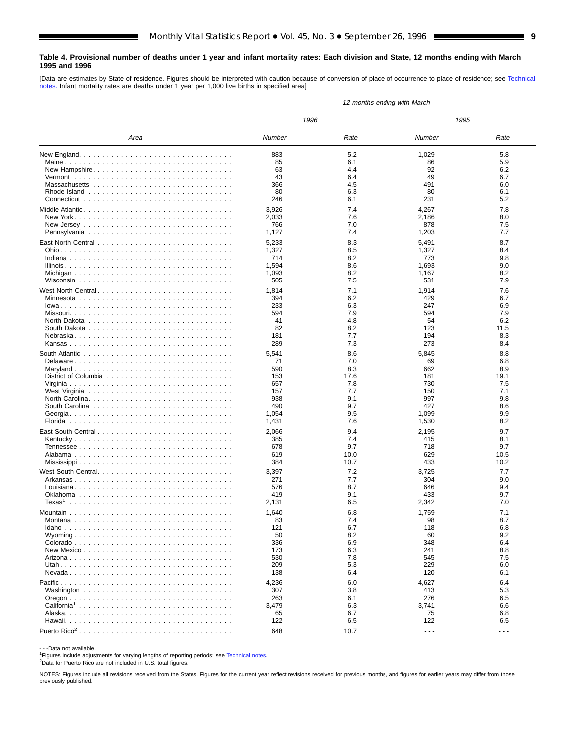#### <span id="page-8-0"></span>**Table 4. Provisional number of deaths under 1 year and infant mortality rates: Each division and State, 12 months ending with March 1995 and 1996**

[Data are estimates by State of residence. Figures should be interpreted with caution because of conversion of place of occurrence to place of residence; see [Technical](#page-16-0) [notes.](#page-16-0) Infant mortality rates are deaths under 1 year per 1,000 live births in specified area]

|                    | 12 months ending with March |            |                      |                      |  |  |  |  |  |
|--------------------|-----------------------------|------------|----------------------|----------------------|--|--|--|--|--|
|                    | 1996                        |            | 1995                 |                      |  |  |  |  |  |
| Area               | Number                      | Rate       | Number               | Rate                 |  |  |  |  |  |
|                    | 883                         | 5.2        | 1,029                | 5.8                  |  |  |  |  |  |
|                    | 85                          | 6.1        | 86                   | 5.9                  |  |  |  |  |  |
| New Hampshire      | 63                          | 4.4        | 92                   | 6.2                  |  |  |  |  |  |
|                    | 43                          | 6.4        | 49                   | 6.7                  |  |  |  |  |  |
|                    | 366                         | 4.5        | 491                  | 6.0                  |  |  |  |  |  |
|                    | 80                          | 6.3        | 80                   | 6.1                  |  |  |  |  |  |
|                    | 246                         | 6.1        | 231                  | 5.2                  |  |  |  |  |  |
|                    | 3,926                       | 7.4        | 4,267                | 7.8                  |  |  |  |  |  |
|                    | 2,033                       | 7.6        | 2,186                | 8.0                  |  |  |  |  |  |
|                    | 766                         | 7.0        | 878                  | 7.5<br>7.7           |  |  |  |  |  |
|                    | 1,127                       | 7.4        | 1,203                |                      |  |  |  |  |  |
|                    | 5,233                       | 8.3        | 5,491                | 8.7                  |  |  |  |  |  |
|                    | 1,327                       | 8.5        | 1,327                | 8.4                  |  |  |  |  |  |
|                    | 714<br>1,594                | 8.2<br>8.6 | 773<br>1,693         | 9.8<br>9.0           |  |  |  |  |  |
|                    | 1,093                       | 8.2        | 1,167                | 8.2                  |  |  |  |  |  |
|                    | 505                         | 7.5        | 531                  | 7.9                  |  |  |  |  |  |
|                    |                             |            |                      |                      |  |  |  |  |  |
|                    | 1,814<br>394                | 7.1<br>6.2 | 1,914<br>429         | 7.6<br>6.7           |  |  |  |  |  |
|                    | 233                         | 6.3        | 247                  | 6.9                  |  |  |  |  |  |
|                    | 594                         | 7.9        | 594                  | 7.9                  |  |  |  |  |  |
|                    | 41                          | 4.8        | 54                   | 6.2                  |  |  |  |  |  |
|                    | 82                          | 8.2        | 123                  | 11.5                 |  |  |  |  |  |
|                    | 181                         | 7.7        | 194                  | 8.3                  |  |  |  |  |  |
|                    | 289                         | 7.3        | 273                  | 8.4                  |  |  |  |  |  |
|                    | 5,541                       | 8.6        | 5,845                | 8.8                  |  |  |  |  |  |
|                    | 71                          | 7.0        | 69                   | 6.8                  |  |  |  |  |  |
|                    | 590                         | 8.3        | 662                  | 8.9                  |  |  |  |  |  |
|                    | 153                         | 17.6       | 181                  | 19.1                 |  |  |  |  |  |
|                    | 657                         | 7.8        | 730                  | 7.5                  |  |  |  |  |  |
|                    | 157                         | 7.7        | 150                  | 7.1                  |  |  |  |  |  |
|                    | 938                         | 9.1        | 997                  | 9.8                  |  |  |  |  |  |
|                    | 490                         | 9.7<br>9.5 | 427<br>1,099         | 8.6<br>9.9           |  |  |  |  |  |
|                    | 1,054<br>1,431              | 7.6        | 1,530                | 8.2                  |  |  |  |  |  |
|                    |                             |            |                      |                      |  |  |  |  |  |
|                    | 2,066                       | 9.4        | 2,195                | 9.7                  |  |  |  |  |  |
| Kentucky           | 385<br>678                  | 7.4<br>9.7 | 415<br>718           | 8.1<br>9.7           |  |  |  |  |  |
|                    | 619                         | 10.0       | 629                  | 10.5                 |  |  |  |  |  |
|                    | 384                         | 10.7       | 433                  | 10.2                 |  |  |  |  |  |
|                    |                             | 7.2        |                      | 7.7                  |  |  |  |  |  |
|                    | 3,397<br>271                | 7.7        | 3,725<br>304         | 9.0                  |  |  |  |  |  |
|                    | 576                         | 8.7        | 646                  | 9.4                  |  |  |  |  |  |
|                    | 419                         | 9.1        | 433                  | 9.7                  |  |  |  |  |  |
| Texas <sup>1</sup> | 2,131                       | 6.5        | 2,342                | 7.0                  |  |  |  |  |  |
|                    | 1,640                       | 6.8        | 1,759                | 7.1                  |  |  |  |  |  |
|                    | 83                          | 7.4        | 98                   | 8.7                  |  |  |  |  |  |
|                    | 121                         | 6.7        | 118                  | 6.8                  |  |  |  |  |  |
|                    | 50                          | 8.2        | 60                   | 9.2                  |  |  |  |  |  |
|                    | 336                         | 6.9        | 348                  | 6.4                  |  |  |  |  |  |
|                    | 173                         | 6.3        | 241                  | 8.8                  |  |  |  |  |  |
|                    | 530                         | 7.8        | 545                  | 7.5                  |  |  |  |  |  |
|                    | 209                         | 5.3        | 229                  | 6.0                  |  |  |  |  |  |
|                    | 138                         | 6.4        | 120                  | 6.1                  |  |  |  |  |  |
|                    | 4,236                       | 6.0        | 4,627                | 6.4                  |  |  |  |  |  |
|                    | 307                         | 3.8        | 413                  | 5.3                  |  |  |  |  |  |
|                    | 263                         | 6.1        | 276                  | 6.5                  |  |  |  |  |  |
|                    | 3,479<br>65                 | 6.3<br>6.7 | 3,741<br>75          | 6.6<br>6.8           |  |  |  |  |  |
|                    | 122                         | 6.5        | 122                  | 6.5                  |  |  |  |  |  |
|                    |                             |            |                      |                      |  |  |  |  |  |
|                    | 648                         | 10.7       | $\sim$ $\sim$ $\sim$ | $\sim$ $\sim$ $\sim$ |  |  |  |  |  |

- - -Data not available.

<sup>1</sup>Figures include adjustments for varying lengths of reporting periods; see [Technical notes.](#page-16-0)

2Data for Puerto Rico are not included in U.S. total figures.

NOTES: Figures include all revisions received from the States. Figures for the current year reflect revisions received for previous months, and figures for earlier years may differ from those previously published.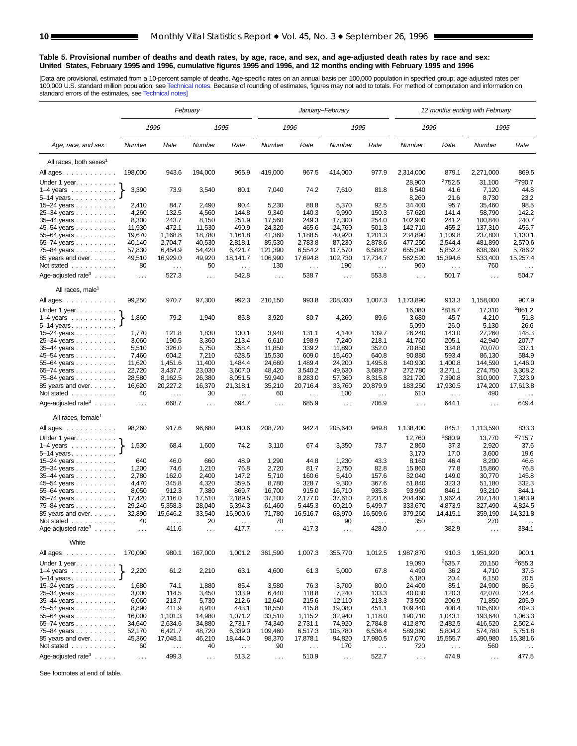#### <span id="page-9-0"></span>**Table 5. Provisional number of deaths and death rates, by age, race, and sex, and age-adjusted death rates by race and sex: United States, February 1995 and 1996, cumulative figures 1995 and 1996, and 12 months ending with February 1995 and 1996**

[Data are provisional, estimated from a 10-percent sample of deaths. Age-specific rates on an annual basis per 100,000 population in specified group; age-adjusted rates per<br>100,000 U.S. standard million population; see Tec

|                                                         | February      |               |                      |               |                               | January-February |               | 12 months ending with February |                 |                    |                      |                      |
|---------------------------------------------------------|---------------|---------------|----------------------|---------------|-------------------------------|------------------|---------------|--------------------------------|-----------------|--------------------|----------------------|----------------------|
|                                                         |               | 1996          |                      | 1995          |                               | 1996             |               | 1995                           | 1996            |                    | 1995                 |                      |
| Age, race, and sex                                      | Number        | Rate          | Number               | Rate          | Number                        | Rate             | Number        | Rate                           | Number          | Rate               | Number               | Rate                 |
| All races, both sexes <sup>1</sup>                      |               |               |                      |               |                               |                  |               |                                |                 |                    |                      |                      |
| All ages.                                               | 198,000       | 943.6         | 194,000              | 965.9         | 419,000                       | 967.5            | 414,000       | 977.9                          | 2,314,000       | 879.1              | 2,271,000            | 869.5                |
| Under 1 year.                                           |               |               |                      |               |                               |                  |               |                                | 28,900          | 2752.5             | 31,100               | <sup>2</sup> 790.7   |
| $1-4$ years $\ldots$ $\ldots$ $\ldots$                  | 3,390         | 73.9          | 3,540                | 80.1          | 7,040                         | 74.2             | 7,610         | 81.8                           | 6,540           | 41.6               | 7,120                | 44.8                 |
| $5 - 14$ years.                                         |               |               |                      |               |                               |                  |               |                                | 8,260           | 21.6               | 8,730                | 23.2                 |
| $15 - 24$ years                                         | 2,410         | 84.7          | 2,490                | 90.4          | 5,230                         | 88.8             | 5,370         | 92.5                           | 34,400          | 95.7               | 35,460               | 98.5                 |
| 25-34 years                                             | 4,260         | 132.5         | 4,560                | 144.8         | 9,340                         | 140.3            | 9,990         | 150.3                          | 57,620          | 141.4              | 58,790               | 142.2                |
| 35-44 years                                             | 8,300         | 243.7         | 8,150                | 251.9         | 17,560                        | 249.3            | 17,300        | 254.0                          | 102,900         | 241.2              | 100,840              | 240.7                |
| 45-54 years                                             | 11,930        | 472.1         | 11,530               | 490.9         | 24,320                        | 465.6            | 24,760        | 501.3                          | 142,710         | 455.2              | 137,310              | 455.7                |
| 55-64 years                                             | 19,670        | 1,168.8       | 18,780               | 1,161.8       | 41,360                        | 1.188.5          | 40,920        | 1,201.3                        | 234,890         | 1,109.8            | 237,800              | 1,130.1              |
| 65-74 years                                             | 40,140        | 2,704.7       | 40,530               | 2,818.1       | 85,530                        | 2,783.8          | 87,230        | 2,878.6                        | 477,250         | 2,544.4            | 481,890              | 2,570.6              |
| 75-84 years                                             | 57,830        | 6,454.9       | 54,420               | 6,421.7       | 121,390                       | 6,554.2          | 117,570       | 6,588.2                        | 655,390         | 5,852.2            | 638,390              | 5,786.2              |
| 85 years and over.                                      | 49,510        | 16,929.0      | 49,920               | 18,141.7      | 106,990                       | 17,694.8         | 102,730       | 17,734.7                       | 562,520         | 15,394.6           | 533,400              | 15,257.4             |
| Not stated                                              | 80            | $\sim$ $\sim$ | 50                   | $\sim$ .      | 130                           | $\sim$ .         | 190           | $\sim$ .                       | 960             | $\sim$             | 760                  | $\ldots$             |
| Age-adjusted rate <sup>3</sup> $\ldots$ .               | $\ldots$      | 527.3         | .                    | 542.8         | $\cdots$                      | 538.7            | $\ldots$      | 553.8                          | $\sim$ .        | 501.7              | $\sim$ $\sim$ $\sim$ | 504.7                |
| All races, male <sup>1</sup>                            |               |               |                      |               |                               |                  |               |                                |                 |                    |                      |                      |
| All ages.                                               | 99,250        | 970.7         | 97,300               | 992.3         | 210,150                       | 993.8            | 208,030       | 1,007.3                        | 1,173,890       | 913.3              | 1,158,000            | 907.9                |
| Under 1 year.                                           |               |               |                      |               |                               |                  |               |                                | 16,080          | <sup>2</sup> 818.7 | 17,310               | <sup>2</sup> 861.2   |
| $1-4$ years                                             | 1,860         | 79.2          | 1,940                | 85.8          | 3,920                         | 80.7             | 4,260         | 89.6                           | 3,680           | 45.7               | 4,210                | 51.8                 |
| 5-14 years.                                             |               |               |                      |               |                               |                  |               |                                | 5,090           | 26.0               | 5,130                | 26.6                 |
| 15-24 years                                             | 1,770         | 121.8         | 1,830                | 130.1         | 3,940                         | 131.1            | 4,140         | 139.7                          | 26,240          | 143.0              | 27,260               | 148.3                |
| 25-34 years                                             | 3,060         | 190.5         | 3,360                | 213.4         | 6,610                         | 198.9            | 7,240         | 218.1                          | 41,760          | 205.1              | 42,940               | 207.7                |
| 35-44 years                                             | 5,510         | 326.0         | 5,750                | 358.4         | 11,850                        | 339.2            | 11,890        | 352.0                          | 70,850          | 334.8              | 70,070               | 337.1                |
| 45–54 years                                             | 7,460         | 604.2         | 7,210                | 628.5         | 15,530                        | 609.0            | 15,460        | 640.8                          | 90,880          | 593.4              | 86,130               | 584.9                |
| 55–64 years                                             | 11,620        | 1,451.6       | 11,400               | 1,484.4       | 24,660                        | 1,489.4          | 24,200        | 1,495.8                        | 140,930         | 1,400.8            | 144,590              | 1,446.0              |
| 65-74 years                                             | 22,720        | 3,437.7       | 23,030               | 3,607.0       | 48,420                        | 3.540.2          | 49,630        | 3,689.7                        | 272,780         | 3,271.1            | 274,750              | 3,308.2              |
| 75-84 years                                             | 28,580        | 8,162.5       | 26,380               | 8,051.5       | 59,940                        | 8,283.0          | 57,360        | 8,315.8                        | 321,720         | 7,390.8            | 310,900              | 7,323.9              |
| 85 years and over.                                      | 16,620        | 20,227.2      | 16,370               | 21,318.1      | 35,210                        | 20,716.4         | 33,760        | 20,879.9                       | 183,250         | 17,930.5           | 174,200              | 17,613.8             |
| Not stated                                              | 40            | $\sim$ .      | 30                   | $\sim$ $\sim$ | 60                            | $\sim$ $\sim$    | 100           | $\sim$ $\sim$ $\sim$           | 610             | $\ldots$           | 490                  | $\sim$ $\sim$ $\sim$ |
| Age-adjusted rate <sup>3</sup> $\ldots$ .               | $\ldots$      | 668.7         | $\sim$ $\sim$        | 694.7         | $\cdots$                      | 685.9            | $\cdots$      | 706.9                          | $\ldots$        | 644.1              | $\ldots$             | 649.4                |
| All races, female <sup>1</sup>                          |               |               |                      |               |                               |                  |               |                                |                 |                    |                      |                      |
| All ages.                                               | 98,260        | 917.6         | 96,680               | 940.6         | 208,720                       | 942.4            | 205,640       | 949.8                          | 1,138,400       | 845.1              | 1,113,590            | 833.3                |
| Under 1 year.                                           |               |               |                      |               |                               |                  |               |                                | 12,760          | 2680.9             | 13,770               | 2715.7               |
| $1-4$ years                                             | 1,530         | 68.4          | 1,600                | 74.2          | 3,110                         | 67.4             | 3,350         | 73.7                           | 2,860           | 37.3               | 2,920                | 37.6                 |
| 5-14 years.                                             |               |               |                      |               |                               |                  |               |                                | 3,170           | 17.0               | 3,600                | 19.6                 |
| 15-24 years                                             | 640           | 46.0          | 660                  | 48.9          | 1,290                         | 44.8             | 1,230         | 43.3                           | 8,160           | 46.4               | 8,200                | 46.6                 |
| 25-34 years                                             | 1,200         | 74.6          | 1,210                | 76.8          | 2,720                         | 81.7             | 2,750         | 82.8                           | 15,860          | 77.8               | 15,860               | 76.8                 |
| 35-44 years                                             | 2,780         | 162.0         | 2,400                | 147.2         | 5,710                         | 160.6            | 5,410         | 157.6                          | 32,040          | 149.0              | 30,770               | 145.8                |
| 45–54 years                                             | 4,470         | 345.8         | 4,320                | 359.5         | 8,780                         | 328.7            | 9,300         | 367.6                          | 51,840          | 323.3              | 51,180               | 332.3                |
| 55-64 years                                             | 8,050         | 912.3         | 7,380                | 869.7         | 16,700                        | 915.0            | 16,710        | 935.3                          | 93,960          | 846.1              | 93,210               | 844.1                |
| 65-74 years                                             | 17,420        | 2,116.0       | 17,510               | 2,189.5       | 37,100                        | 2,177.0          | 37,610        | 2,231.6                        | 204,460         | 1,962.4            | 207,140              | 1,983.9              |
| 75–84 years                                             | 29,240        | 5,358.3       | 28,040               | 5,394.3       | 61,460                        | 5,445.3          | 60,210        | 5,499.7                        | 333,670         | 4,873.9            | 327,490              | 4,824.5              |
| 85 years and over.                                      | 32,890        | 15,646.2      | 33,540               | 16,900.6      | 71,780                        | 16,516.7         | 68,970        | 16,509.6                       | 379,260         | 14,415.1           | 359,190              | 14,321.8             |
| Not stated.<br>.                                        | 40            |               | 20                   |               | 70                            |                  | 90            |                                | 350             |                    | 270                  |                      |
| Age-adjusted rate <sup>3</sup> $\ldots$ .               | $\sim$ $\sim$ | 411.6         | $\sim$ $\sim$ $\sim$ | 417.7         | $\cdots$                      | 417.3            | $\cdots$      | 428.0                          | $\cdots$        | 382.9              | $\cdots$             | 384.1                |
| White                                                   |               |               |                      |               |                               |                  |               |                                |                 |                    |                      |                      |
| All ages.                                               | 170,090       | 980.1         | 167,000              | 1,001.2       | 361,590                       | 1,007.3          | 355,770       | 1,012.5                        | 1,987,870       | 910.3              | 1,951,920            | 900.1                |
| Under 1 year.<br>$1-4$ years $\ldots$ $\ldots$ $\ldots$ | 2,220         | 61.2          | 2,210                | 63.1          | 4,600                         | 61.3             | 5,000         | 67.8                           | 19,090<br>4,490 | 2635.7<br>36.2     | 20,150<br>4,710      | 2655.3<br>37.5       |
| $5-14$ years $\ldots$ $\ldots$ $\ldots$                 |               |               |                      |               |                               |                  |               |                                | 6,180           | 20.4               | 6,150                | 20.5                 |
| 15-24 years                                             | 1,680         | 74.1          | 1,880                | 85.4          | 3,580                         | 76.3             | 3,700         | 80.0                           | 24,400          | 85.1               | 24,900               | 86.6                 |
| 25-34 years                                             | 3,000         | 114.5         | 3,450                | 133.9         | 6,440                         | 118.8            | 7,240         | 133.3                          | 40,030          | 120.3              | 42,070               | 124.4                |
| 35-44 years                                             | 6,060         | 213.7         | 5,730                | 212.6         | 12,640                        | 215.6            | 12,110        | 213.3                          | 73,500          | 206.9              | 71,850               | 205.9                |
| 45–54 years                                             | 8,890         | 411.9         | 8,910                | 443.1         | 18,550                        | 415.8            | 19,080        | 451.1                          | 109,440         | 408.4              | 105,600              | 409.3                |
| 55-64 years                                             | 16,000        | 1,101.3       | 14,980               | 1,071.2       | 33,510                        | 1,115.2          | 32,940        | 1,118.0                        | 190,710         | 1,043.1            | 193,640              | 1,063.3              |
| 65-74 years                                             | 34,640        | 2,634.6       | 34,880               | 2,731.7       | 74,340                        | 2,731.1          | 74,920        | 2,784.8                        | 412,870         | 2,482.5            | 416,520              | 2,502.4              |
| 75-84 years                                             | 52,170        | 6,421.7       | 48,720               | 6,339.0       | 109,460                       | 6,517.3          | 105,780       | 6,536.4                        | 589,360         | 5,804.2            | 574,780              | 5,751.8              |
| 85 years and over.                                      | 45,360        | 17,048.1      | 46,210               | 18,444.0      | 98,370                        | 17,878.1         | 94,820        | 17,980.5                       | 517,070         | 15,555.7           | 490,980              | 15,381.6             |
| Not stated                                              | 60            | $\sim$ $\sim$ | 40                   | $\sim$        | 90                            | $\sim$ $\sim$    | 170           | $\sim$ .                       | 720             | $\cdots$           | 560                  | $\sim$ $\sim$        |
| Age-adjusted rate <sup>3</sup>                          | $\sim$ $\sim$ | 499.3         | $\sim$ $\sim$ $\sim$ | 513.2         | $\epsilon \rightarrow \infty$ | 510.9            | $\sim$ $\sim$ | 522.7                          | $\sim$ $\sim$   | 474.9              | $\sim$ $\sim$        | 477.5                |

See footnotes at end of table.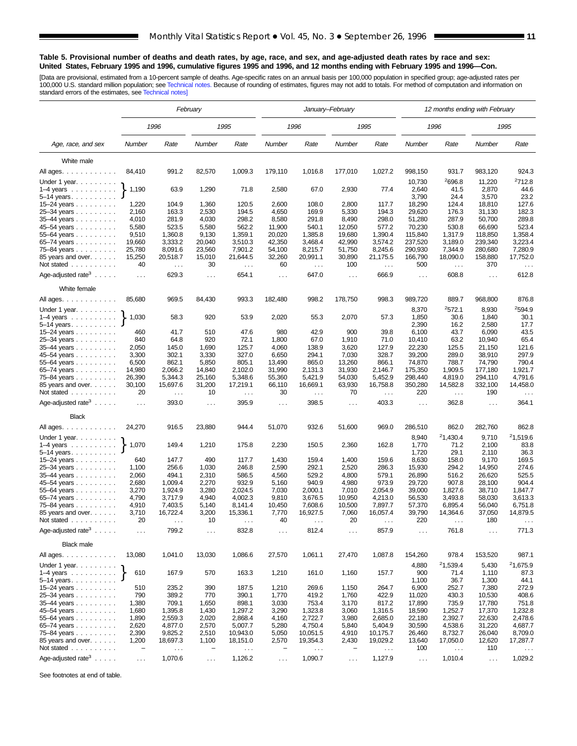#### **Table 5. Provisional number of deaths and death rates, by age, race, and sex, and age-adjusted death rates by race and sex: United States, February 1995 and 1996, cumulative figures 1995 and 1996, and 12 months ending with February 1995 and 1996—Con.**

[Data are provisional, estimated from a 10-percent sample of deaths. Age-specific rates on an annual basis per 100,000 population in specified group; age-adjusted rates per<br>100,000 U.S. standard million population; see Tec

|                                           | February          |                               |                      |                           |                 |                      | January–February |                               | 12 months ending with February |                      |                  |                           |  |
|-------------------------------------------|-------------------|-------------------------------|----------------------|---------------------------|-----------------|----------------------|------------------|-------------------------------|--------------------------------|----------------------|------------------|---------------------------|--|
|                                           |                   | 1996                          |                      | 1995                      |                 | 1996                 |                  | 1995                          |                                | 1996                 |                  | 1995                      |  |
| Age, race, and sex                        | Number            | Rate                          | Number               | Rate                      | Number          | Rate                 | Number           | Rate                          | Number                         | Rate                 | Number           | Rate                      |  |
| White male                                |                   |                               |                      |                           |                 |                      |                  |                               |                                |                      |                  |                           |  |
| All ages.                                 | 84,410            | 991.2                         | 82,570               | 1,009.3                   | 179,110         | 1,016.8              | 177,010          | 1,027.2                       | 998,150                        | 931.7                | 983,120          | 924.3                     |  |
| Under 1 year.                             |                   |                               |                      |                           |                 |                      |                  |                               | 10,730                         | <sup>2</sup> 696.8   | 11,220           | 2712.8                    |  |
| $1-4$ years                               | 1,190             | 63.9                          | 1,290                | 71.8                      | 2,580           | 67.0                 | 2,930            | 77.4                          | 2,640                          | 41.5                 | 2,870            | 44.6                      |  |
| $5 - 14$ years.                           |                   |                               |                      |                           |                 |                      |                  |                               | 3,790                          | 24.4                 | 3,570            | 23.2                      |  |
| $15 - 24$ years                           | 1,220             | 104.9                         | 1,360                | 120.5                     | 2,600           | 108.0                | 2,800            | 117.7                         | 18,290                         | 124.4                | 18,810           | 127.6                     |  |
| 25-34 years                               | 2,160             | 163.3                         | 2,530                | 194.5                     | 4,650           | 169.9                | 5,330            | 194.3                         | 29,620                         | 176.3                | 31,130           | 182.3                     |  |
| 35-44 years<br>45-54 years                | 4,010<br>5,580    | 281.9<br>523.5                | 4,030<br>5,580       | 298.2<br>562.2            | 8,580<br>11,900 | 291.8<br>540.1       | 8,490<br>12,050  | 298.0<br>577.2                | 51,280<br>70,230               | 287.9<br>530.8       | 50,700<br>66,690 | 289.8<br>523.4            |  |
| 55–64 years $\ldots$                      | 9,510             | 1,360.8                       | 9,130                | 1,359.1                   | 20,020          | 1,385.8              | 19,680           | 1,390.4                       | 115,840                        | 1,317.9              | 118,850          | 1,358.4                   |  |
| 65-74 years                               | 19,660            | 3,333.2                       | 20,040               | 3,510.3                   | 42,350          | 3,468.4              | 42,990           | 3,574.2                       | 237,520                        | 3,189.0              | 239,340          | 3,223.4                   |  |
| 75-84 years                               | 25,780            | 8,091.6                       | 23,560               | 7,901.2                   | 54,100          | 8,215.7              | 51,750           | 8,245.6                       | 290,930                        | 7,344.9              | 280,680          | 7,280.9                   |  |
| 85 years and over.                        | 15,250            | 20,518.7                      | 15,010               | 21,644.5                  | 32,260          | 20,991.1             | 30,890           | 21,175.5                      | 166,790                        | 18,090.0             | 158,880          | 17,752.0                  |  |
| Not stated                                | 40                | $\sim$                        | 30                   | $\sim$ $\sim$             | 60              | $\sim$ $\sim$        | 100              | $\sim$ $\sim$                 | 500                            | $\sim$ $\sim$        | 370              | $\sim$ $\sim$             |  |
| Age-adjusted rate <sup>3</sup> $\ldots$ . | $\cdots$          | 629.3                         | $\cdots$             | 654.1                     | $\sim$ $\sim$   | 647.0                | $\cdots$         | 666.9                         | $\sim 10$                      | 608.8                | $\cdots$         | 612.8                     |  |
| White female                              |                   |                               |                      |                           |                 |                      |                  |                               |                                |                      |                  |                           |  |
| All ages.<br>Under 1 year.                | 85,680            | 969.5                         | 84,430               | 993.3                     | 182,480         | 998.2                | 178,750          | 998.3                         | 989,720<br>8,370               | 889.7<br>2572.1      | 968,800<br>8,930 | 876.8<br>2594.9           |  |
| $1-4$ years $\ldots$ $\ldots$ $\ldots$    | 1,030             | 58.3                          | 920                  | 53.9                      | 2,020           | 55.3                 | 2,070            | 57.3                          | 1,850                          | 30.6                 | 1,840            | 30.1                      |  |
| $5-14$ years. $\ldots$                    |                   |                               |                      |                           |                 |                      |                  |                               | 2,390                          | 16.2                 | 2,580            | 17.7                      |  |
| 15–24 years                               | 460               | 41.7                          | 510                  | 47.6                      | 980             | 42.9                 | 900              | 39.8                          | 6,100                          | 43.7                 | 6,090            | 43.5                      |  |
| 25-34 years                               | 840               | 64.8                          | 920                  | 72.1                      | 1,800           | 67.0                 | 1,910            | 71.0                          | 10,410                         | 63.2                 | 10,940           | 65.4                      |  |
| 35-44 years                               | 2,050             | 145.0                         | 1,690                | 125.7                     | 4,060           | 138.9                | 3,620            | 127.9                         | 22,230                         | 125.5                | 21,150           | 121.6                     |  |
| 45-54 years<br>55-64 years                | 3,300<br>6,500    | 302.1<br>862.1                | 3,330<br>5,850       | 327.0<br>805.1            | 6,650<br>13,490 | 294.1<br>865.0       | 7,030<br>13,260  | 328.7<br>866.1                | 39,200<br>74,870               | 289.0<br>788.7       | 38,910<br>74,790 | 297.9<br>790.4            |  |
| 65-74 years                               | 14,980            | 2,066.2                       | 14,840               | 2.102.0                   | 31,990          | 2,131.3              | 31,930           | 2,146.7                       | 175,350                        | 1,909.5              | 177,180          | 1,921.7                   |  |
| 75–84 years                               | 26,390            | 5,344.3                       | 25,160               | 5,348.6                   | 55,360          | 5,421.9              | 54,030           | 5,452.9                       | 298,440                        | 4,819.0              | 294,110          | 4,791.6                   |  |
| 85 years and over<br>Not stated           | 30,100<br>20      | 15,697.6<br>$\sim$ $\sim$     | 31,200<br>10         | 17,219.1<br>$\sim$ $\sim$ | 66,110<br>30    | 16,669.1<br>$\ldots$ | 63,930<br>70     | 16,758.8<br>$\sim$ .          | 350,280<br>220                 | 14,582.8<br>$\cdots$ | 332,100<br>190   | 14,458.0<br>$\sim$ $\sim$ |  |
| Age-adjusted rate <sup>3</sup> $\ldots$ . | $\ldots$          | 393.0                         | $\sim$ $\sim$        | 395.9                     | $\sim$ $\sim$   | 398.5                | $\cdots$         | 403.3                         | $\sim 10$                      | 362.8                | $\sim$ $\sim$    | 364.1                     |  |
| <b>Black</b>                              |                   |                               |                      |                           |                 |                      |                  |                               |                                |                      |                  |                           |  |
| All ages.                                 | 24,270            | 916.5                         | 23,880               | 944.4                     | 51,070          | 932.6                | 51,600           | 969.0                         | 286,510                        | 862.0                | 282,760          | 862.8                     |  |
| Under 1 year.                             |                   |                               |                      |                           |                 |                      |                  |                               | 8,940                          | 21,430.4             | 9,710            | 21,519.6                  |  |
| $1-4$ years                               | 1,070             | 149.4                         | 1,210                | 175.8                     | 2,230           | 150.5                | 2,360            | 162.8                         | 1,770                          | 71.2                 | 2,100            | 83.8                      |  |
| 5-14 years.<br>15-24 years                | 640               | 147.7                         | 490                  | 117.7                     | 1,430           | 159.4                | 1,400            | 159.6                         | 1,720<br>8,630                 | 29.1<br>158.0        | 2,110<br>9,170   | 36.3<br>169.5             |  |
| 25-34 years                               | 1,100             | 256.6                         | 1,030                | 246.8                     | 2,590           | 292.1                | 2,520            | 286.3                         | 15,930                         | 294.2                | 14,950           | 274.6                     |  |
| 35-44 years                               | 2,060             | 494.1                         | 2,310                | 586.5                     | 4,560           | 529.2                | 4,800            | 579.1                         | 26,890                         | 516.2                | 26,620           | 525.5                     |  |
| 45–54 years                               | 2,680             | 1,009.4                       | 2,270                | 932.9                     | 5,160           | 940.9                | 4,980            | 973.9                         | 29,720                         | 907.8                | 28,100           | 904.4                     |  |
| 55–64 years                               | 3,270             | 1,924.9                       | 3,280                | 2,024.5                   | 7,030           | 2,000.1              | 7,010            | 2,054.9                       | 39,000                         | 1,827.6              | 38,710           | 1,847.7                   |  |
| 65-74 years                               | 4,790             | 3.717.9                       | 4,940                | 4,002.3                   | 9,810           | 3,676.5              | 10,950           | 4,213.0                       | 56,530                         | 3,493.8              | 58,030           | 3,613.3                   |  |
| 75–84 years<br>85 years and over.         | 4,910<br>3,710    | 7,403.5<br>16,722.4           | 5,140<br>3,200       | 8,141.4<br>15,336.1       | 10,450<br>7,770 | 7,608.6<br>16,927.5  | 10,500<br>7,060  | 7,897.7<br>16,057.4           | 57,370<br>39,790               | 6,895.4<br>14,364.6  | 56,040<br>37,050 | 6,751.8<br>14,879.5       |  |
| Not stated $\ldots$                       | 20                | $\sim$ $\sim$ $\sim$          | 10                   | $\cdots$                  | 40              |                      | 20               | $\sim$ $\sim$ $\sim$          | 220                            | $\cdots$             | 180              |                           |  |
| Age-adjusted rate <sup>3</sup> $\ldots$ . | $\sim$ .          | 799.2                         | $\ldots$             | 832.8                     | $\cdots$        | 812.4                | $\ddotsc$        | 857.9                         | $\ldots$                       | 761.8                | $\ldots$         | 771.3                     |  |
| <b>Black male</b>                         |                   |                               |                      |                           |                 |                      |                  |                               |                                |                      |                  |                           |  |
| All ages.                                 | 13,080            | 1,041.0                       | 13,030               | 1,086.6                   | 27,570          | 1,061.1              | 27,470           | 1,087.8                       | 154,260                        | 978.4                | 153,520          | 987.1                     |  |
| Under 1 year. $\ldots$ .                  |                   |                               |                      |                           |                 |                      |                  |                               | 4,880                          | <sup>2</sup> 1,539.4 | 5,430            | 21,675.9                  |  |
| $1-4$ years }<br>$5 - 14$ years.          | 610               | 167.9                         | 570                  | 163.3                     | 1,210           | 161.0                | 1,160            | 157.7                         | 900<br>1,100                   | 71.4<br>36.7         | 1,110<br>1,300   | 87.3<br>44.1              |  |
| 15-24 years                               | 510               | 235.2                         | 390                  | 187.5                     | 1,210           | 269.6                | 1,150            | 264.7                         | 6,900                          | 252.7                | 7,380            | 272.9                     |  |
| 25-34 years                               | 790               | 389.2                         | 770                  | 390.1                     | 1,770           | 419.2                | 1,760            | 422.9                         | 11,020                         | 430.3                | 10,530           | 408.6                     |  |
| 35-44 years                               | 1,380             | 709.1                         | 1,650                | 898.1                     | 3,030           | 753.4                | 3,170            | 817.2                         | 17,890                         | 735.9                | 17,780           | 751.8                     |  |
| 45-54 years                               | 1,680<br>1,890    | 1,395.8<br>2,559.3            | 1,430<br>2,020       | 1,297.2<br>2,868.4        | 3,290<br>4,160  | 1,323.8<br>2,722.7   | 3,060<br>3,980   | 1,316.5<br>2,685.0            | 18,590<br>22,180               | 1,252.7<br>2,392.7   | 17,370<br>22,630 | 1,232.8<br>2,478.6        |  |
| 55–64 years<br>65-74 years                | 2,620             | 4,877.0                       | 2,570                | 5,007.7                   | 5,280           | 4,750.4              | 5,840            | 5,404.9                       | 30,590                         | 4,538.6              | 31,220           | 4,687.7                   |  |
| 75-84 years                               | 2,390             | 9,825.2                       | 2,510                | 10,943.0                  | 5,050           | 10,051.5             | 4,910            | 10,175.7                      | 26,460                         | 8,732.7              | 26,040           | 8,709.0                   |  |
| 85 years and over.                        | 1,200             | 18,697.3                      | 1,100                | 18,151.0                  | 2,570           | 19,354.3             | 2,430            | 19,029.2                      | 13,640                         | 17,050.0             | 12,620           | 17,287.7                  |  |
| Not stated                                | $\qquad \qquad -$ | $\epsilon \rightarrow \infty$ |                      | $\sim$ $\sim$             |                 | $\sim$ $\sim$        |                  | $\epsilon \rightarrow \infty$ | 100                            | $\sim$ $\sim$        | 110              | $\sim$ $\sim$ $\sim$      |  |
| Age-adjusted rate <sup>3</sup> $\ldots$ . | $\sim$ .          | 1,070.6                       | $\sim$ $\sim$ $\sim$ | 1,126.2                   | $\ldots$        | 1,090.7              | $\ldots$         | 1,127.9                       | $\sim$                         | 1,010.4              | $\sim$ $\sim$    | 1,029.2                   |  |

See footnotes at end of table.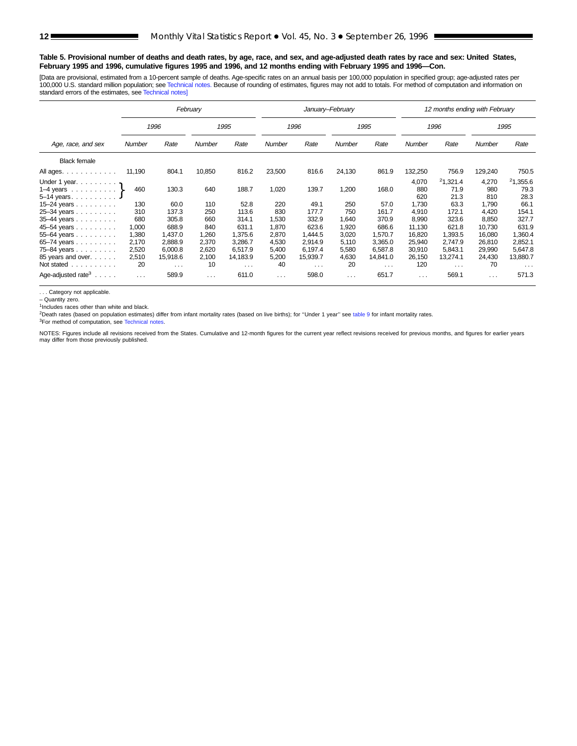#### **Table 5. Provisional number of deaths and death rates, by age, race, and sex, and age-adjusted death rates by race and sex: United States, February 1995 and 1996, cumulative figures 1995 and 1996, and 12 months ending with February 1995 and 1996—Con.**

[Data are provisional, estimated from a 10-percent sample of deaths. Age-specific rates on an annual basis per 100,000 population in specified group; age-adjusted rates per 100,000 U.S. standard million population; see [Technical notes.](#page-16-0) Because of rounding of estimates, figures may not add to totals. For method of computation and information on standard errors of the estimates, see [Technical notes\]](#page-16-0)

|                                                                                                     |                                  |                                        | February                       |                                        |                                  |                                        | January-February                 |                                        |                                      | 12 months ending with February         |                                      |                                        |
|-----------------------------------------------------------------------------------------------------|----------------------------------|----------------------------------------|--------------------------------|----------------------------------------|----------------------------------|----------------------------------------|----------------------------------|----------------------------------------|--------------------------------------|----------------------------------------|--------------------------------------|----------------------------------------|
|                                                                                                     |                                  | 1996                                   |                                | 1995                                   |                                  | 1996                                   |                                  | 1995                                   |                                      | 1996                                   |                                      | 1995                                   |
| Age, race, and sex                                                                                  | Number                           | Rate                                   | <b>Number</b>                  | Rate                                   | Number                           | Rate                                   | Number                           | Rate                                   | Number                               | Rate                                   | Number                               | Rate                                   |
| <b>Black female</b>                                                                                 |                                  |                                        |                                |                                        |                                  |                                        |                                  |                                        |                                      |                                        |                                      |                                        |
| All ages.                                                                                           | 11,190                           | 804.1                                  | 10,850                         | 816.2                                  | 23,500                           | 816.6                                  | 24,130                           | 861.9                                  | 132,250                              | 756.9                                  | 129,240                              | 750.5                                  |
| Under 1 year. $\ldots$<br>1–4 years $\ldots$ $\ldots$ $\}$<br>$5-14$ years.<br>15–24 years $\ldots$ | 460<br>130                       | 130.3<br>60.0                          | 640<br>110                     | 188.7<br>52.8                          | 1,020<br>220                     | 139.7<br>49.1                          | 1,200<br>250                     | 168.0<br>57.0                          | 4,070<br>880<br>620<br>1,730         | 21,321.4<br>71.9<br>21.3<br>63.3       | 4,270<br>980<br>810<br>1,790         | 21,355.6<br>79.3<br>28.3<br>66.1       |
| 25-34 years<br>35-44 years                                                                          | 310<br>680                       | 137.3<br>305.8                         | 250<br>660                     | 113.6<br>314.1                         | 830<br>1,530                     | 177.7<br>332.9                         | 750<br>1,640                     | 161.7<br>370.9                         | 4.910<br>8,990                       | 172.1<br>323.6                         | 4.420<br>8,850                       | 154.1<br>327.7                         |
| 45-54 years<br>$55 - 64$ years<br>65-74 years<br>75-84 years                                        | 1,000<br>1,380<br>2,170<br>2,520 | 688.9<br>1,437.0<br>2,888.9<br>6,000.8 | 840<br>1,260<br>2,370<br>2,620 | 631.1<br>1,375.6<br>3,286.7<br>6.517.9 | 1,870<br>2,870<br>4,530<br>5,400 | 623.6<br>1,444.5<br>2,914.9<br>6,197.4 | 1,920<br>3,020<br>5,110<br>5,580 | 686.6<br>1,570.7<br>3,365.0<br>6.587.8 | 11,130<br>16,820<br>25,940<br>30,910 | 621.8<br>1,393.5<br>2,747.9<br>5,843.1 | 10,730<br>16,080<br>26,810<br>29,990 | 631.9<br>1,360.4<br>2,852.1<br>5,647.8 |
| 85 years and over.<br>Not stated                                                                    | 2,510<br>20                      | 15,918.6<br>$\cdots$                   | 2,100<br>10                    | 14,183.9<br>$\cdots$                   | 5,200<br>40                      | 15,939.7<br>$\cdots$                   | 4,630<br>20                      | 14,841.0<br>$\cdots$                   | 26,150<br>120                        | 13,274.1<br>$\ldots$                   | 24,430<br>70                         | 13,880.7<br>$\cdots$                   |
| Age-adjusted rate <sup>3</sup> $\ldots$ .                                                           | $\cdots$                         | 589.9                                  | $\cdots$                       | 611.0                                  | $\cdots$                         | 598.0                                  | $\sim 100$ km s $^{-1}$          | 651.7                                  | $\cdots$                             | 569.1                                  | $\cdots$                             | 571.3                                  |

. . . Category not applicable.

– Quantity zero.

 $1$ Includes races other than white and black.

<sup>2</sup>Death rates (based on population estimates) differ from infant mortality rates (based on live births); for "Under 1 year" see [table 9](#page-15-0) for infant mortality rates.

<sup>3</sup>For method of computation, see [Technical notes](#page-16-0).

NOTES: Figures include all revisions received from the States. Cumulative and 12-month figures for the current year reflect revisions received for previous months, and figures for earlier years may differ from those previously published.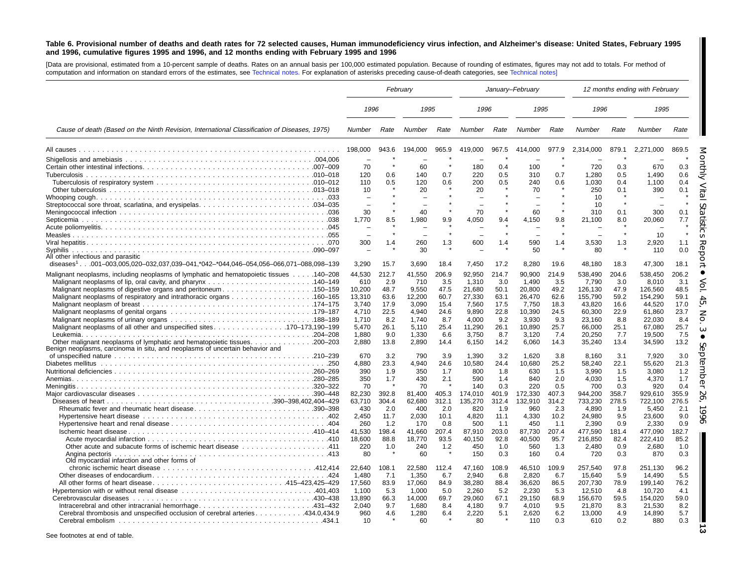#### <span id="page-12-0"></span>Table 6. Provisional number of deaths and death rates for 72 selected causes, Human immunodeficiency virus infection, and Alzheimer's disease: United States, February 1995 and 1996, cumulative figures 1995 and 1996, and 12 months ending with February 1995 and 1996

[Data are provisional, estimated from a 10-percent sample of deaths. Rates on an annual basis per 100,000 estimated population. Because of rounding of estimates, figures may not add to totals. For method of computation and information on standard errors of the estimates, see [Technical](#page-16-0) notes. For explanation of asterisks preceding cause-of-death categories, see [Technical](#page-16-0) notes]

|                                                                                                 | February                       |             |                 |             | January-February |              |                 |              |                   |              | 12 months ending with February |              |
|-------------------------------------------------------------------------------------------------|--------------------------------|-------------|-----------------|-------------|------------------|--------------|-----------------|--------------|-------------------|--------------|--------------------------------|--------------|
|                                                                                                 | 1996                           |             | 1995            |             | 1996             |              | 1995            |              | 1996              |              | 1995                           |              |
| Cause of death (Based on the Ninth Revision, International Classification of Diseases, 1975)    | <b>Number</b>                  | Rate        | Number          | Rate        | Number           | Rate         | Number          | Rate         | <b>Number</b>     | Rate         | Number                         | Rate         |
|                                                                                                 | 198,000                        | 943.6       | 194,000         | 965.9       | 419,000          | 967.5        | 414,000         | 977.9        | 2,314,000         | 879.1        | 2,271,000                      | 869.5        |
|                                                                                                 |                                |             |                 |             |                  |              |                 |              |                   |              |                                |              |
|                                                                                                 | 70                             |             | 60              |             | 180              | 0.4          | 100             |              | 720               | 0.3          | 670                            | 0.3          |
|                                                                                                 | 120                            | 0.6         | 140             | 0.7         | 220              | 0.5          | 310             | 0.7          | 1,280             | 0.5          | 1,490                          | 0.6          |
|                                                                                                 | 110                            | 0.5         | 120             | 0.6         | 200              | 0.5          | 240             | 0.6          | 1.030             | 0.4          | 1,100                          | 0.4          |
|                                                                                                 | 10<br>$\overline{\phantom{0}}$ |             | 20<br>÷         |             | 20               |              | 70              |              | 250<br>10         | 0.1          | 390                            | 0.1          |
|                                                                                                 |                                |             |                 |             |                  |              |                 |              | 10                | $\star$      |                                |              |
|                                                                                                 | 30                             |             | 40              |             | 70               |              | 60              |              | 310               | 0.1          | 300                            | 0.1          |
|                                                                                                 | 1.770                          | 8.5         | 1,980           | 9.9         | 4,050            | 9.4          | 4,150           | 9.8          | 21,100            | 8.0          | 20,060                         | 7.7          |
|                                                                                                 |                                |             |                 |             |                  |              |                 |              |                   |              |                                |              |
|                                                                                                 |                                |             |                 |             |                  |              |                 |              |                   |              | 10                             |              |
|                                                                                                 | 300                            | 1.4         | 260             | 1.3         | 600              | 1.4          | 590             | 1.4          | 3,530             | 1.3          | 2.920                          | 1.1          |
| Syphilis<br>All other infectious and parasitic                                                  |                                |             | 30              |             |                  |              | 50              |              | 80                |              | 110                            | 0.0          |
| diseases <sup>1</sup> 001-003,005,020-032,037,039-041,*042-*044,046-054,056-066,071-088,098-139 | 3.290                          | 15.7        | 3,690           | 18.4        | 7,450            | 17.2         | 8,280           | 19.6         | 48,180            | 18.3         | 47,300                         | 18.1         |
| Malignant neoplasms, including neoplasms of lymphatic and hematopoietic tissues 140–208         | 44,530                         | 212.7       | 41,550          | 206.9       | 92,950           | 214.7        | 90,900          | 214.9        | 538,490           | 204.6        | 538,450                        | 206.2        |
|                                                                                                 | 610                            | 2.9         | 710             | 3.5         | 1,310            | 3.0          | 1,490           | 3.5          | 7,790             | 3.0          | 8,010                          | 3.1          |
| Malignant neoplasms of digestive organs and peritoneum150–159                                   | 10,200                         | 48.7        | 9,550           | 47.5        | 21,680           | 50.1         | 20,800          | 49.2         | 126,130           | 47.9         | 126,560                        | 48.5         |
|                                                                                                 | 13,310                         | 63.6        | 12,200          | 60.7        | 27,330           | 63.1         | 26,470          | 62.6         | 155,790           | 59.2         | 154,290                        | 59.1         |
|                                                                                                 | 3,740                          | 17.9        | 3,090           | 15.4        | 7,560            | 17.5         | 7.750           | 18.3         | 43,820            | 16.6         | 44,520                         | 17.0         |
|                                                                                                 | 4,710                          | 22.5        | 4,940           | 24.6        | 9,890            | 22.8         | 10,390          | 24.5         | 60,300            | 22.9         | 61,860                         | 23.7         |
|                                                                                                 | 1,710                          | 8.2         | 1,740           | 8.7         | 4,000            | 9.2          | 3.930           | 9.3          | 23,160            | 8.8          | 22.030                         | 8.4          |
|                                                                                                 | 5.470<br>1.880                 | 26.1<br>9.0 | 5,110<br>1.330  | 25.4<br>6.6 | 11,290<br>3.750  | 26.1<br>8.7  | 10,890<br>3.120 | 25.7<br>7.4  | 66,000<br>20.250  | 25.1<br>7.7  | 67,080<br>19.500               | 25.7<br>7.5  |
|                                                                                                 | 2.880                          | 13.8        | 2.890           | 14.4        | 6,150            | 14.2         | 6,060           | 14.3         | 35,240            | 13.4         | 34,590                         | 13.2         |
| Benign neoplasms, carcinoma in situ, and neoplasms of uncertain behavior and                    |                                |             |                 |             |                  |              |                 |              |                   |              |                                |              |
|                                                                                                 | 670                            | 3.2         | 790             | 3.9         | 1,390            | 3.2          | 1.620           | 3.8          | 8.160             | 3.1          | 7.920                          | 3.0          |
|                                                                                                 | 4.880                          | 23.3        | 4,940           | 24.6        | 10,580           | 24.4         | 10,680          | 25.2         | 58,240            | 22.1         | 55.620                         | 21.3         |
|                                                                                                 | 390                            | 1.9         | 350             | 1.7         | 800              | 1.8          | 630             | 1.5          | 3,990             | 1.5          | 3,080                          | 1.2          |
|                                                                                                 | 350                            | 1.7         | 430             | 2.1         | 590              | 1.4          | 840             | 2.0          | 4,030             | 1.5          | 4,370                          | 1.7          |
|                                                                                                 | 70<br>82,230                   | 392.8       | 70<br>81,400    | 405.3       | 140<br>174,010   | 0.3<br>401.9 | 220<br>172,330  | 0.5<br>407.3 | 700<br>944,200    | 0.3<br>358.7 | 920<br>929,610                 | 0.4<br>355.9 |
|                                                                                                 | 63,710                         | 304.4       | 62,680          | 312.1       | 135,270          | 312.4        | 132,910         | 314.2        | 733,230           | 278.5        | 722,100                        | 276.5        |
| Rheumatic fever and rheumatic heart disease390-398                                              | 430                            | 2.0         | 400             | 2.0         | 820              | 1.9          | 960             | 2.3          | 4,890             | 1.9          | 5,450                          | 2.1          |
|                                                                                                 | 2,450                          | 11.7        | 2,030           | 10.1        | 4,820            | 11.1         | 4,330           | 10.2         | 24,980            | 9.5          | 23,600                         | 9.0          |
|                                                                                                 | 260                            | 1.2         | 170             | 0.8         | 500              | 1.1          | 450             | 1.1          | 2.390             | 0.9          | 2.330                          | 0.9          |
|                                                                                                 | 41.530                         | 198.4       | 41.660          | 207.4       | 87.910           | 203.0        | 87.730          | 207.4        | 477.590           | 181.4        | 477.090                        | 182.7        |
|                                                                                                 | 18.600                         | 88.8        | 18,770          | 93.5        | 40.150           | 92.8         | 40.500          | 95.7         | 216.850           | 82.4         | 222.410                        | 85.2         |
| 0ther acute and subacute forms of ischemic heart disease 411                                    | 220                            | 1.0         | 240             | 1.2         | 450              | 1.0          | 560             | 1.3          | 2.480             | 0.9          | 2.680                          | 1.0          |
| Old myocardial infarction and other forms of                                                    | 80                             |             | 60              |             | 150              | 0.3          | 160             | 0.4          | 720               | 0.3          | 870                            | 0.3          |
|                                                                                                 | 22.640                         | 108.1       | 22.580          | 112.4       | 47.160           | 108.9        | 46.510          | 109.9        | 257.540           | 97.8         | 251.130                        | 96.2         |
|                                                                                                 | 1,480                          | 7.1         | 1,350           | 6.7         | 2,940            | 6.8          | 2,820           | 6.7          | 15,640            | 5.9          | 14,490                         | 5.5          |
|                                                                                                 | 17,560<br>1,100                | 83.9<br>5.3 | 17,060<br>1,000 | 84.9<br>5.0 | 38,280<br>2,260  | 88.4<br>5.2  | 36,620<br>2,230 | 86.5<br>5.3  | 207,730<br>12,510 | 78.9<br>4.8  | 199,140<br>10,720              | 76.2<br>4.1  |
|                                                                                                 | 13,890                         | 66.3        | 14,000          | 69.7        | 29,060           | 67.1         | 29,150          | 68.9         | 156,670           | 59.5         | 154,020                        | 59.0         |
|                                                                                                 | 2,040                          | 9.7         | 1,680           | 8.4         | 4,180            | 9.7          | 4,010           | 9.5          | 21,870            | 8.3          | 21,530                         | 8.2          |
| Cerebral thrombosis and unspecified occlusion of cerebral arteries434.0,434.9                   | 960                            | 4.6         | 1,280           | 6.4         | 2,220            | 5.1          | 2,620           | 6.2          | 13,000            | 4.9          | 14,890                         | 5.7          |
|                                                                                                 | 10                             |             | 60              |             | 80               |              | 110             | 0.3          | 610               | 0.2          | 880                            | 0.3          |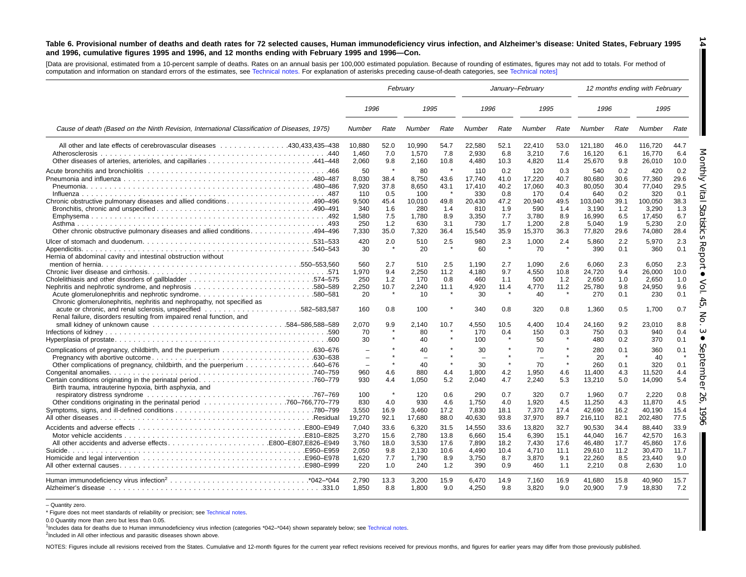#### Table 6. Provisional number of deaths and death rates for 72 selected causes, Human immunodeficiency virus infection, and Alzheimer's disease: United States, February 1995 and 1996, cumulative figures 1995 and 1996, and 12 months ending with February 1995 and 1996-Con.

[Data are provisional, estimated from <sup>a</sup> 10-percent sample of deaths. Rates on an annual basis per 100,000 estimated population. Because of rounding of estimates, figures may not add to totals. For method of computation and information on standard errors of the estimates, see [Technical](#page-16-0) notes. For explanation of asterisks preceding cause-of-death categories, see [Technical](#page-16-0) notes]

|                                                                                                                                                                                                                                                                                           | February                                                                       |                                                                     |                                                              |                                                                 |                                                                 | January-February                                        |                                                                   |                                                         |                                                                       |                                                                 | 12 months ending with February                                        |                                                                 |
|-------------------------------------------------------------------------------------------------------------------------------------------------------------------------------------------------------------------------------------------------------------------------------------------|--------------------------------------------------------------------------------|---------------------------------------------------------------------|--------------------------------------------------------------|-----------------------------------------------------------------|-----------------------------------------------------------------|---------------------------------------------------------|-------------------------------------------------------------------|---------------------------------------------------------|-----------------------------------------------------------------------|-----------------------------------------------------------------|-----------------------------------------------------------------------|-----------------------------------------------------------------|
|                                                                                                                                                                                                                                                                                           | 1996                                                                           |                                                                     | 1995                                                         |                                                                 | 1996                                                            |                                                         | 1995                                                              |                                                         | 1996                                                                  |                                                                 | 1995                                                                  |                                                                 |
| Cause of death (Based on the Ninth Revision, International Classification of Diseases, 1975)                                                                                                                                                                                              | Number                                                                         | Rate                                                                | Number                                                       | Rate                                                            | Number                                                          | Rate                                                    | Number                                                            | Rate                                                    | Number                                                                | Rate                                                            | Number                                                                | Rate                                                            |
| All other and late effects of cerebrovascular diseases 430,433,435–438<br>Atherosclerosis                                                                                                                                                                                                 | 10,880<br>1.460<br>2,060                                                       | 52.0<br>7.0<br>9.8                                                  | 10,990<br>1,570<br>2,160                                     | 54.7<br>7.8<br>10.8                                             | 22,580<br>2.930<br>4,480                                        | 52.1<br>6.8<br>10.3                                     | 22,410<br>3,210<br>4,820                                          | 53.0<br>7.6<br>11.4                                     | 121,180<br>16,120<br>25,670                                           | 46.0<br>6.1<br>9.8                                              | 116,720<br>16.770<br>26,010                                           | 44.7<br>6.4<br>10.0                                             |
| Chronic obstructive pulmonary diseases and allied conditions490–496<br>Other chronic obstructive pulmonary diseases and allied conditions494–496                                                                                                                                          | 50<br>8.030<br>7.920<br>110<br>9,500<br>340<br>1,580<br>250                    | $\star$<br>38.4<br>37.8<br>0.5<br>45.4<br>1.6<br>7.5<br>1.2<br>35.0 | 80<br>8.750<br>8.650<br>100<br>10,010<br>280<br>1,780<br>630 | $\star$<br>43.6<br>43.1<br>$\star$<br>49.8<br>1.4<br>8.9<br>3.1 | 110<br>17.740<br>17.410<br>330<br>20.430<br>810<br>3,350<br>730 | 0.2<br>41.0<br>40.2<br>0.8<br>47.2<br>1.9<br>7.7<br>1.7 | 120<br>17.220<br>17.060<br>170<br>20,940<br>590<br>3,780<br>1,200 | 0.3<br>40.7<br>40.3<br>0.4<br>49.5<br>1.4<br>8.9<br>2.8 | 540<br>80.680<br>80.050<br>640<br>103,040<br>3,190<br>16,990<br>5,040 | 0.2<br>30.6<br>30.4<br>0.2<br>39.1<br>1.2<br>6.5<br>1.9<br>29.6 | 420<br>77.360<br>77.040<br>320<br>100,050<br>3.290<br>17,450<br>5,230 | 0.2<br>29.6<br>29.5<br>0.1<br>38.3<br>1.3<br>6.7<br>2.0<br>28.4 |
| Hernia of abdominal cavity and intestinal obstruction without                                                                                                                                                                                                                             | 7,330<br>420<br>30                                                             | 2.0                                                                 | 7,320<br>510<br>20                                           | 36.4<br>2.5<br>$\star$                                          | 15,540<br>980<br>60                                             | 35.9<br>2.3<br>$\star$                                  | 15,370<br>1,000<br>70                                             | 36.3<br>2.4<br>$\star$                                  | 77,820<br>5,860<br>390                                                | 2.2<br>0.1                                                      | 74,080<br>5,970<br>360                                                | 2.3<br>0.1                                                      |
| Chronic glomerulonephritis, nephritis and nephropathy, not specified as                                                                                                                                                                                                                   | 560<br>1,970<br>250<br>2,250<br>20<br>160                                      | 2.7<br>9.4<br>1.2<br>10.7<br>$\star$<br>0.8                         | 510<br>2,250<br>170<br>2,240<br>10<br>100                    | 2.5<br>11.2<br>0.8<br>11.1                                      | 1.190<br>4.180<br>460<br>4,920<br>30<br>340                     | 2.7<br>9.7<br>1.1<br>11.4<br>$\star$<br>0.8             | 1.090<br>4.550<br>500<br>4,770<br>40<br>320                       | 2.6<br>10.8<br>1.2<br>11.2<br>$\star$<br>0.8            | 6.060<br>24.720<br>2,650<br>25,780<br>270<br>1,360                    | 2.3<br>9.4<br>1.0<br>9.8<br>0.1<br>0.5                          | 6.050<br>26.000<br>2.650<br>24,950<br>230<br>1,700                    | 2.3<br>10.0<br>1.0<br>9.6<br>0.1<br>0.7                         |
| Renal failure, disorders resulting from impaired renal function, and                                                                                                                                                                                                                      | 2.070<br>70<br>30                                                              | 9.9                                                                 | 2.140<br>80<br>40                                            | 10.7                                                            | 4.550<br>170<br>100                                             | 10.5<br>0.4                                             | 4.400<br>150<br>50                                                | 10.4<br>0.3                                             | 24.160<br>750<br>480                                                  | 9.2<br>0.3<br>0.2                                               | 23.010<br>940<br>370                                                  | 8.8<br>0.4<br>0.1                                               |
|                                                                                                                                                                                                                                                                                           | $\equiv$<br>$\overline{\phantom{0}}$<br>$\overline{\phantom{a}}$<br>960<br>930 | 4.6<br>4.4                                                          | 40<br>40<br>880<br>1,050                                     | $\star$<br>$\star$<br>4.4<br>5.2                                | 30<br>30<br>1,800<br>2.040                                      | $\star$<br>4.2<br>4.7                                   | 70<br>$\overline{\phantom{0}}$<br>70<br>1,950<br>2,240            | $\star$<br>4.6<br>5.3                                   | 280<br>20<br>260<br>11,400<br>13,210                                  | 0.1<br>0.1<br>4.3<br>5.0                                        | 360<br>40<br>320<br>11,520<br>14,090                                  | 0.1<br>0.1<br>4.4<br>5.4                                        |
| Birth trauma, intrauterine hypoxia, birth asphyxia, and<br>respiratory distress syndrome contact and contact the contact of the contact of the contact of the contact of the contact of the contact of the contact of the contact of the contact of the contact of the contact of the con | 100<br>830<br>3,550<br>19,270                                                  | $\star$<br>4.0<br>16.9<br>92.1                                      | 120<br>930<br>3.460<br>17,680                                | 0.6<br>4.6<br>17.2<br>88.0                                      | 290<br>1,750<br>7.830<br>40,630                                 | 0.7<br>4.0<br>18.1<br>93.8                              | 320<br>1,920<br>7.370<br>37,970                                   | 0.7<br>4.5<br>17.4<br>89.7                              | 1.960<br>11,250<br>42,690<br>216,110                                  | 0.7<br>4.3<br>16.2<br>82.1                                      | 2,220<br>11,870<br>40.190<br>202,480                                  | 0.8<br>4.5<br>15.4<br>77.5                                      |
|                                                                                                                                                                                                                                                                                           | 7.040<br>3.270<br>3.760<br>2.050<br>1,620<br>220                               | 33.6<br>15.6<br>18.0<br>9.8<br>7.7<br>1.0                           | 6,320<br>2.780<br>3,530<br>2.130<br>1,790<br>240             | 31.5<br>13.8<br>17.6<br>10.6<br>8.9<br>1.2                      | 14,550<br>6.660<br>7.890<br>4.490<br>3,750<br>390               | 33.6<br>15.4<br>18.2<br>10.4<br>8.7<br>0.9              | 13,820<br>6,390<br>7.430<br>4.710<br>3,870<br>460                 | 32.7<br>15.1<br>17.6<br>11.1<br>9.1<br>1.1              | 90,530<br>44,040<br>46.480<br>29.610<br>22,260<br>2,210               | 34.4<br>16.7<br>17.7<br>11.2<br>8.5<br>0.8                      | 88.440<br>42.570<br>45.860<br>30.470<br>23,440<br>2,630               | 33.9<br>16.3<br>17.6<br>11.7<br>9.0<br>1.0                      |
|                                                                                                                                                                                                                                                                                           | 2.790<br>1.850                                                                 | 13.3<br>8.8                                                         | 3,200<br>1,800                                               | 15.9<br>9.0                                                     | 6,470<br>4,250                                                  | 14.9<br>9.8                                             | 7,160<br>3,820                                                    | 16.9<br>9.0                                             | 41,680<br>20,900                                                      | 15.8<br>7.9                                                     | 40,960<br>18,830                                                      | 15.7<br>7.2                                                     |

– Quantity zero.

\* Figure does not meet standards of reliability or precision; see [Technical](#page-16-0) notes.

0.0 Quantity more than zero but less than 0.05.

1Includes data for deaths due to Human immunodeficiency virus infection (categories \*042–\*044) shown separately below; see [Technical](#page-16-0) notes.

<sup>2</sup>Included in All other infectious and parasitic diseases shown above.

NOTES: Figures include all revisions received from the States. Cumulative and 12-month figures for the current year reflect revisions received for previous months, and figures for earlier years may differ from those previo

**14**

H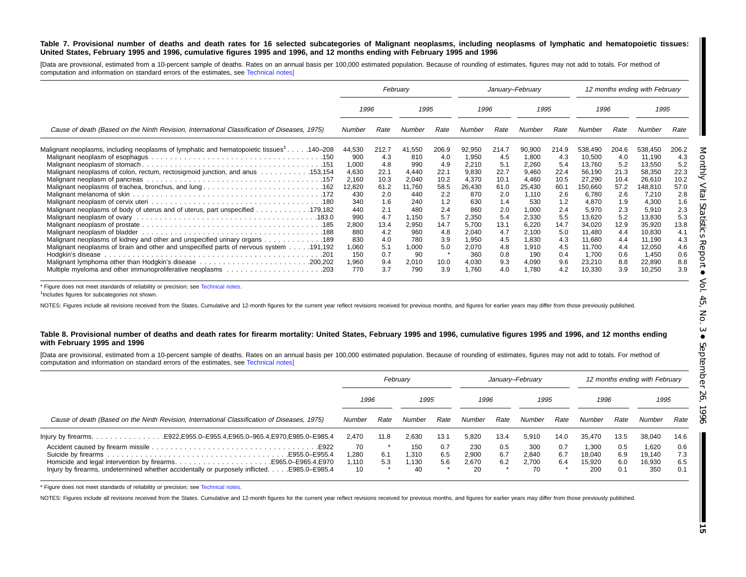#### Table 7. Provisional number of deaths and death rates for 16 selected subcategories of Malignant neoplasms, including neoplasms of lymphatic and hematopoietic tissues: United States, February 1995 and 1996, cumulative figures 1995 and 1996, and 12 months ending with February 1995 and 1996

[Data are provisional, estimated from a 10-percent sample of deaths. Rates on an annual basis per 100,000 estimated population. Because of rounding of estimates, figures may not add to totals. For method of computation and information on standard errors of the estimates, see [Technical](#page-16-0) notes]

|                                                                                                      |              | February   |             |            |                |            | January-February |            |                  |            | 12 months ending with February |            |
|------------------------------------------------------------------------------------------------------|--------------|------------|-------------|------------|----------------|------------|------------------|------------|------------------|------------|--------------------------------|------------|
|                                                                                                      | 1996         |            | 1995        |            | 1996           |            | 1995             |            | 1996             |            | 1995                           |            |
| Cause of death (Based on the Ninth Revision, International Classification of Diseases, 1975)         | Number       | Rate       | Number      | Rate       | Number         | Rate       | Number           | Rate       | Number           | Rate       | Number                         | Rate       |
| Malignant neoplasms, including neoplasms of lymphatic and hematopoietic tissues <sup>1</sup> 140–208 | 44,530       | 212.7      | 41,550      | 206.9      | 92,950         | 214.7      | 90,900           | 214.9      | 538,490          | 204.6      | 538,450                        | 206.2      |
|                                                                                                      | 900<br>1,000 | 4.3<br>4.8 | 810<br>990  | 4.0<br>4.9 | 1,950<br>2,210 | 4.5<br>5.1 | 1,800<br>2,260   | 4.3<br>5.4 | 10,500<br>13,760 | 4.0<br>5.2 | 11,190<br>13,550               | 4.3<br>5.2 |
| Malignant neoplasms of colon, rectum, rectosigmoid junction, and anus 153,154                        | 4,630        | 22.1       | 4,440       | 22.1       | 9,830          | 22.7       | 9,460            | 22.4       | 56,190           | 21.3       | 58,350                         | 22.3       |
|                                                                                                      | 2,160        | 10.3       | 2.040       | 10.2       | 4,370          | 10.1       | 4.460            | 10.5       | 27,290           | 10.4       | 26,610                         | 10.2       |
|                                                                                                      | 12,820       | 61.2       | 11,760      | 58.5       | 26,430         | 61.0       | 25,430           | 60.1       | 150,660          | 57.2       | 148,810                        | 57.0       |
|                                                                                                      | 430          | 2.0        | 440         | 2.2        | 870            | 2.0        | 1,110            | 2.6        | 6,780            | 2.6        | 7,210                          | 2.8        |
|                                                                                                      | 340          | 1.6        | 240         | 1.2        | 630            | 1.4        | 530              | 1.2        | 4,870            | 1.9        | 4,300                          | 1.6        |
| Malignant neoplasms of body of uterus and of uterus, part unspecified 179,182                        | 440          | 2.1        | 480         | 2.4        | 860            | 2.0        | 1,000            | 2.4        | 5,970            | 2.3        | 5,910                          | 2.3        |
|                                                                                                      | 990          | 4.7        | 1.150       | 5.7        | 2,350          | 5.4        | 2,330            | 5.5        | 13,620           | 5.2        | 13,830                         | 5.3        |
|                                                                                                      | 2,800        | 13.4       | 2,950       | 14.7       | 5,700          | 13.1       | 6,220            | 14.7       | 34,020           | 12.9       | 35,920                         | 13.8       |
|                                                                                                      | 880          | 4.2        | 960         | 4.8        | 2,040          | 4.7        | 2,100            | 5.0        | 11,480           | 4.4        | 10,830                         | 4.1        |
| Malignant neoplasms of kidney and other and unspecified urinary organs 189                           | 830          | 4.0<br>5.1 | 780         | 3.9<br>5.0 | 1,950          | 4.5<br>4.8 | 1,830            | 4.3<br>4.5 | 11,680<br>11,700 | 4.4<br>4.4 | 11,190                         | 4.3<br>4.6 |
| Malignant neoplasms of brain and other and unspecified parts of nervous system 191,192               | 1,060<br>150 | 0.7        | 1.000<br>90 | $\star$    | 2,070<br>360   | 0.8        | 1,910<br>190     | 0.4        | 1,700            | 0.6        | 12,050<br>1,450                | 0.6        |
|                                                                                                      | 1,960        | 9.4        | 2,010       | 10.0       | 4,030          | 9.3        | 4,090            | 9.6        | 23,210           | 8.8        | 22,890                         | 8.8        |
| Multiple myeloma and other immunoproliferative neoplasms 203                                         | 770          | 3.7        | 790         | 3.9        | 1,760          | 4.0        | 1,780            | 4.2        | 10,330           | 3.9        | 10,250                         | 3.9        |

\* Figure does not meet standards of reliability or precision; see [Technical](#page-16-0) notes.

<sup>1</sup>Includes figures for subcategories not shown.

NOTES: Figures include all revisions received from the States. Cumulative and 12-month figures for the current year reflect revisions received for previous months, and figures for earlier years may differ from those previo

#### Table 8. Provisional number of deaths and death rates for firearm mortality: United States, February 1995 and 1996, cumulative figures 1995 and 1996, and 12 months ending **with February 1995 and 1996**

[Data are provisional, estimated from a 10-percent sample of deaths. Rates on an annual basis per 100,000 estimated population. Because of rounding of estimates, figures may not add to totals. For method of computation and information on standard errors of the estimates, see [Technical](#page-16-0) notes]

|                                                                                                                                                                                   |                            |            | February                   |                   |                             |                   | January-February            |                   |                                  |                          | 12 months ending with February   |                          |
|-----------------------------------------------------------------------------------------------------------------------------------------------------------------------------------|----------------------------|------------|----------------------------|-------------------|-----------------------------|-------------------|-----------------------------|-------------------|----------------------------------|--------------------------|----------------------------------|--------------------------|
|                                                                                                                                                                                   | 1996                       |            | 1995                       |                   | 1996                        |                   | 1995                        |                   | 1996                             |                          | 1995                             |                          |
| Cause of death (Based on the Ninth Revision, International Classification of Diseases, 1975)                                                                                      | Number                     | Rate       | Number                     | Rate              | Number                      | Rate              | Number                      | Rate              | Number                           | Rate                     | Number                           | Rate                     |
|                                                                                                                                                                                   | 2.470                      | 11.8       | 2,630                      | 13.1              | 5,820                       | 13.4              | 5,910                       | 14.0              | 35.470                           | 13.5                     | 38,040                           | 14.6                     |
| E955.0-E955.4<br>Homicide and legal intervention by firearmsE965.0–E965.4, E970<br>lnjury by firearms, undetermined whether accidentally or purposely inflicted.<br>E985.0-E985.4 | 70<br>1,280<br>1.110<br>10 | 6.1<br>5.3 | 150<br>1.310<br>.130<br>40 | 0.7<br>6.5<br>5.6 | 230<br>2,900<br>2.670<br>20 | 0.5<br>6.7<br>6.2 | 300<br>2.840<br>2.700<br>70 | 0.7<br>6.7<br>6.4 | 1,300<br>18.040<br>15.920<br>200 | 0.5<br>6.9<br>6.0<br>0.1 | 1.620<br>19.140<br>16.930<br>350 | 0.6<br>7.3<br>6.5<br>0.1 |

\* Figure does not meet standards of reliability or precision; see [Technical](#page-16-0) notes.

NOTES: Figures include all revisions received from the States. Cumulative and 12-month figures for the current year reflect revisions received for previous months, and figures for earlier years may differ from those previo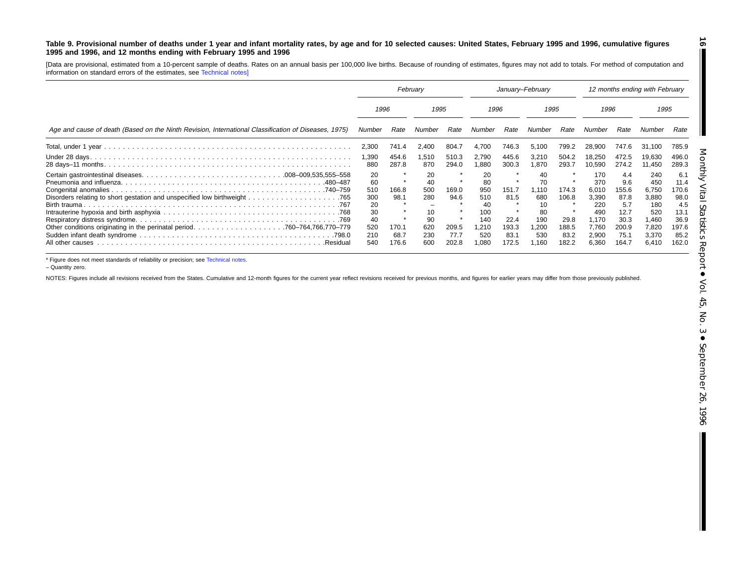#### <span id="page-15-0"></span>Table 9. Provisional number of deaths under 1 year and infant mortality rates, by age and for 10 selected causes: United States, February 1995 and 1996, cumulative figures **1995 and 1996, and 12 months ending with February 1995 and 1996**

[Data are provisional, estimated from <sup>a</sup> 10-percent sample of deaths. Rates on an annual basis per 100,000 live births. Because of rounding of estimates, figures may not add to totals. For method of computation and information on standard errors of the estimates, see [Technical](#page-16-0) notes]

|                                                                                                      | February                                                      |                                         |                                                         | January-February                        |                                                                   |                                                 |                                                                 | 12 months ending with February                   |                                                                                |                                                                             |                                                                                |                                                                               |  |
|------------------------------------------------------------------------------------------------------|---------------------------------------------------------------|-----------------------------------------|---------------------------------------------------------|-----------------------------------------|-------------------------------------------------------------------|-------------------------------------------------|-----------------------------------------------------------------|--------------------------------------------------|--------------------------------------------------------------------------------|-----------------------------------------------------------------------------|--------------------------------------------------------------------------------|-------------------------------------------------------------------------------|--|
|                                                                                                      |                                                               | 1996                                    |                                                         | 1995                                    |                                                                   | 1996                                            |                                                                 | 1995                                             |                                                                                | 1996                                                                        |                                                                                | 1995                                                                          |  |
| Age and cause of death (Based on the Ninth Revision, International Classification of Diseases, 1975) | Number                                                        | Rate                                    | Number                                                  | Rate                                    | Number                                                            | Rate                                            | Number                                                          | Rate                                             | Number                                                                         | Rate                                                                        | Number                                                                         | Rate                                                                          |  |
|                                                                                                      | 2,300                                                         | 741.4                                   | 2,400                                                   | 804.7                                   | 4,700                                                             | 746.3                                           | 5,100                                                           | 799.2                                            | 28,900                                                                         | 747.6                                                                       | 31.100                                                                         | 785.9                                                                         |  |
|                                                                                                      | 1,390<br>880                                                  | 454.6<br>287.8                          | 1,510<br>870                                            | 510.3<br>294.0                          | 2,790<br>.880                                                     | 445.6<br>300.3                                  | 3,210<br>1.870                                                  | 504.2<br>293.7                                   | 18,250<br>10.590                                                               | 472.5<br>274.2                                                              | 19.630<br>11.450                                                               | 496.0<br>289.3                                                                |  |
| 480–487<br>All other causes<br>.Residual                                                             | 20<br>60<br>510<br>300<br>20<br>30<br>40<br>520<br>210<br>540 | 166.8<br>98.1<br>170.1<br>68.7<br>176.6 | 20<br>40<br>500<br>280<br>10<br>90<br>620<br>230<br>600 | 169.0<br>94.6<br>209.5<br>77.7<br>202.8 | 20<br>80<br>950<br>510<br>40<br>100<br>140<br>.210<br>520<br>,080 | 151.7<br>81.5<br>22.4<br>193.3<br>83.1<br>172.5 | 40<br>70<br>1.110<br>680<br>80<br>190<br>200. ا<br>530<br>1,160 | 174.3<br>106.8<br>29.8<br>188.5<br>83.2<br>182.2 | 170<br>370<br>6.010<br>3,390<br>220<br>490<br>1,170<br>7.760<br>2,900<br>6,360 | 4.4<br>9.6<br>155.6<br>87.8<br>5.7<br>12.7<br>30.3<br>200.9<br>75.7<br>164. | 240<br>450<br>6,750<br>3,880<br>180<br>520<br>1,460<br>7,820<br>3,370<br>6,410 | 6.1<br>11.4<br>170.6<br>98.0<br>4.5<br>13.1<br>36.9<br>197.6<br>85.2<br>162.0 |  |

\* Figure does not meet standards of reliability or precision; see [Technical](#page-16-0) notes.

– Quantity zero.

NOTES: Figures include all revisions received from the States. Cumulative and 12-month figures for the current year reflect revisions received for previous months, and figures for earlier years may differ from those previo

**16** T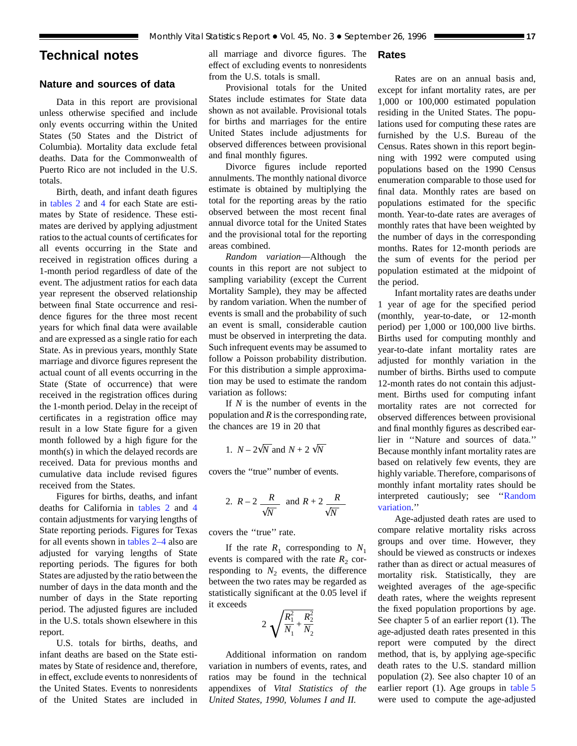## <span id="page-16-0"></span>**Technical notes**

## **Nature and sources of data**

Data in this report are provisional unless otherwise specified and include only events occurring within the United States (50 States and the District of Columbia). Mortality data exclude fetal deaths. Data for the Commonwealth of Puerto Rico are not included in the U.S. totals.

Birth, death, and infant death figures in [tables 2](#page-6-0) and [4](#page-8-0) for each State are estimates by State of residence. These estimates are derived by applying adjustment ratios to the actual counts of certificates for all events occurring in the State and received in registration offices during a 1-month period regardless of date of the event. The adjustment ratios for each data year represent the observed relationship between final State occurrence and residence figures for the three most recent years for which final data were available and are expressed as a single ratio for each State. As in previous years, monthly State marriage and divorce figures represent the actual count of all events occurring in the State (State of occurrence) that were received in the registration offices during the 1-month period. Delay in the receipt of certificates in a registration office may result in a low State figure for a given month followed by a high figure for the month(s) in which the delayed records are received. Data for previous months and cumulative data include revised figures received from the States.

Figures for births, deaths, and infant deaths for California in [tables 2](#page-6-0) and [4](#page-8-0) contain adjustments for varying lengths of State reporting periods. Figures for Texas for all events shown in [tables 2–4](#page-6-0) also are adjusted for varying lengths of State reporting periods. The figures for both States are adjusted by the ratio between the number of days in the data month and the number of days in the State reporting period. The adjusted figures are included in the U.S. totals shown elsewhere in this report.

U.S. totals for births, deaths, and infant deaths are based on the State estimates by State of residence and, therefore, in effect, exclude events to nonresidents of the United States. Events to nonresidents of the United States are included in

all marriage and divorce figures. The effect of excluding events to nonresidents from the U.S. totals is small.

## Provisional totals for the United States include estimates for State data shown as not available. Provisional totals for births and marriages for the entire United States include adjustments for observed differences between provisional and final monthly figures.

Divorce figures include reported annulments. The monthly national divorce estimate is obtained by multiplying the total for the reporting areas by the ratio observed between the most recent final annual divorce total for the United States and the provisional total for the reporting areas combined.

*Random variation*—Although the counts in this report are not subject to sampling variability (except the Current Mortality Sample), they may be affected by random variation. When the number of events is small and the probability of such an event is small, considerable caution must be observed in interpreting the data. Such infrequent events may be assumed to follow a Poisson probability distribution. For this distribution a simple approximation may be used to estimate the random variation as follows:

If *N* is the number of events in the population and *R* is the corresponding rate, the chances are 19 in 20 that

1. 
$$
N - 2\sqrt{N}
$$
 and  $N + 2\sqrt{N}$ 

covers the ''true'' number of events.

2. 
$$
R-2
$$
  $\frac{R}{\sqrt{N}}$  and  $R+2$   $\frac{R}{\sqrt{N}}$ 

covers the ''true'' rate.

If the rate  $R_1$  corresponding to  $N_1$ events is compared with the rate  $R_2$  corresponding to  $N_2$  events, the difference between the two rates may be regarded as statistically significant at the 0.05 level if it exceeds

$$
2\sqrt{\frac{R_1^2}{N_1} + \frac{R_2^2}{N_2}}
$$

Additional information on random variation in numbers of events, rates, and ratios may be found in the technical appendixes of *Vital Statistics of the United States, 1990, Volumes I and II.*

## **Rates**

Rates are on an annual basis and, except for infant mortality rates, are per 1,000 or 100,000 estimated population residing in the United States. The populations used for computing these rates are furnished by the U.S. Bureau of the Census. Rates shown in this report beginning with 1992 were computed using populations based on the 1990 Census enumeration comparable to those used for final data. Monthly rates are based on populations estimated for the specific month. Year-to-date rates are averages of monthly rates that have been weighted by the number of days in the corresponding months. Rates for 12-month periods are the sum of events for the period per population estimated at the midpoint of the period.

Infant mortality rates are deaths under 1 year of age for the specified period (monthly, year-to-date, or 12-month period) per 1,000 or 100,000 live births. Births used for computing monthly and year-to-date infant mortality rates are adjusted for monthly variation in the number of births. Births used to compute 12-month rates do not contain this adjustment. Births used for computing infant mortality rates are not corrected for observed differences between provisional and final monthly figures as described earlier in ''Nature and sources of data.'' Because monthly infant mortality rates are based on relatively few events, they are highly variable. Therefore, comparisons of monthly infant mortality rates should be interpreted cautiously; see ''Random variation.''

Age-adjusted death rates are used to compare relative mortality risks across groups and over time. However, they should be viewed as constructs or indexes rather than as direct or actual measures of mortality risk. Statistically, they are weighted averages of the age-specific death rates, where the weights represent the fixed population proportions by age. See chapter 5 of an earlier report (1). The age-adjusted death rates presented in this report were computed by the direct method, that is, by applying age-specific death rates to the U.S. standard million population (2). See also chapter 10 of an earlier report (1). Age groups in [table 5](#page-9-0) were used to compute the age-adjusted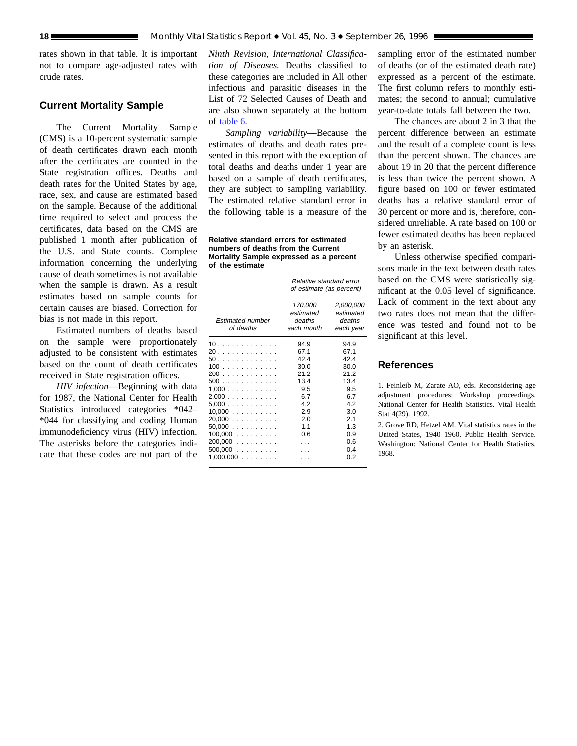rates shown in that table. It is important not to compare age-adjusted rates with crude rates.

## **Current Mortality Sample**

The Current Mortality Sample (CMS) is a 10-percent systematic sample of death certificates drawn each month after the certificates are counted in the State registration offices. Deaths and death rates for the United States by age, race, sex, and cause are estimated based on the sample. Because of the additional time required to select and process the certificates, data based on the CMS are published 1 month after publication of the U.S. and State counts. Complete information concerning the underlying cause of death sometimes is not available when the sample is drawn. As a result estimates based on sample counts for certain causes are biased. Correction for bias is not made in this report.

Estimated numbers of deaths based on the sample were proportionately adjusted to be consistent with estimates based on the count of death certificates received in State registration offices.

*HIV infection*—Beginning with data for 1987, the National Center for Health Statistics introduced categories \*042– \*044 for classifying and coding Human immunodeficiency virus (HIV) infection. The asterisks before the categories indicate that these codes are not part of the

*Ninth Revision, International Classification of Diseases.* Deaths classified to these categories are included in All other infectious and parasitic diseases in the List of 72 Selected Causes of Death and are also shown separately at the bottom of [table 6.](#page-12-0)

*Sampling variability*—Because the estimates of deaths and death rates presented in this report with the exception of total deaths and deaths under 1 year are based on a sample of death certificates, they are subject to sampling variability. The estimated relative standard error in the following table is a measure of the

**Relative standard errors for estimated numbers of deaths from the Current Mortality Sample expressed as a percent of the estimate**

|                                                                                                                                           | Relative standard error<br>of estimate (as percent)                                         |                                                                                                         |  |  |  |  |  |
|-------------------------------------------------------------------------------------------------------------------------------------------|---------------------------------------------------------------------------------------------|---------------------------------------------------------------------------------------------------------|--|--|--|--|--|
| Estimated number<br>of deaths                                                                                                             | 170,000<br>estimated<br>deaths<br>each month                                                | 2,000,000<br>estimated<br>deaths<br>each year                                                           |  |  |  |  |  |
| 10<br>20<br>50<br>100<br>200<br>500<br>1.000<br>2,000<br>5,000<br>$10,000$<br>$20,000$<br>$50,000$<br>$100,000$<br>$200,000$<br>$500,000$ | 94.9<br>67.1<br>42.4<br>30.0<br>21.2<br>13.4<br>9.5<br>6.7<br>42<br>2.9<br>2.0<br>11<br>0.6 | 94.9<br>67.1<br>424<br>30.0<br>21.2<br>13.4<br>9.5<br>67<br>42<br>3.0<br>2.1<br>1.3<br>0.9<br>0.6<br>04 |  |  |  |  |  |
| $1,000,000$                                                                                                                               |                                                                                             | 0 2                                                                                                     |  |  |  |  |  |

sampling error of the estimated number of deaths (or of the estimated death rate) expressed as a percent of the estimate. The first column refers to monthly estimates; the second to annual; cumulative year-to-date totals fall between the two.

The chances are about 2 in 3 that the percent difference between an estimate and the result of a complete count is less than the percent shown. The chances are about 19 in 20 that the percent difference is less than twice the percent shown. A figure based on 100 or fewer estimated deaths has a relative standard error of 30 percent or more and is, therefore, considered unreliable. A rate based on 100 or fewer estimated deaths has been replaced by an asterisk.

Unless otherwise specified comparisons made in the text between death rates based on the CMS were statistically significant at the 0.05 level of significance. Lack of comment in the text about any two rates does not mean that the difference was tested and found not to be significant at this level.

## **References**

1. Feinleib M, Zarate AO, eds. Reconsidering age adjustment procedures: Workshop proceedings. National Center for Health Statistics. Vital Health Stat 4(29). 1992.

2. Grove RD, Hetzel AM. Vital statistics rates in the United States, 1940–1960. Public Health Service. Washington: National Center for Health Statistics. 1968.